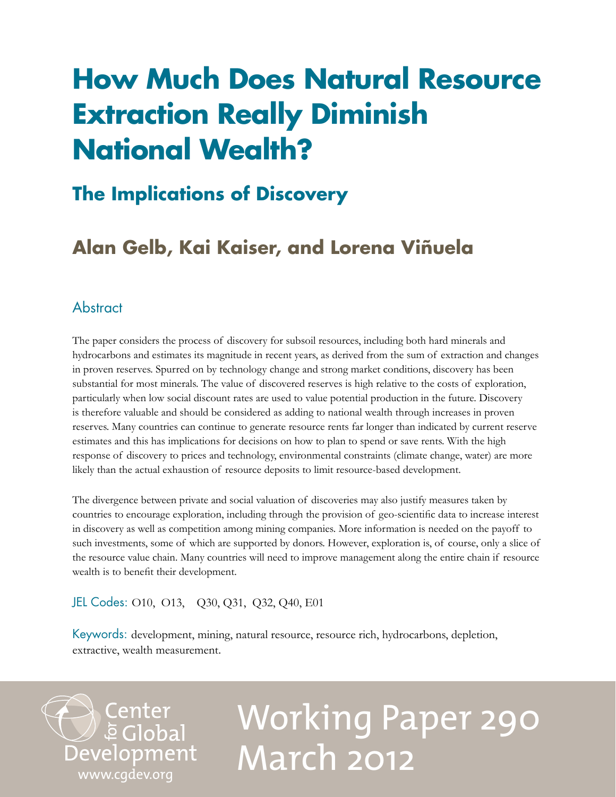## **How Much Does Natural Resource Extraction Really Diminish National Wealth?**

## **The Implications of Discovery**

## **Alan Gelb, Kai Kaiser, and Lorena Viñuela**

#### **Abstract**

The paper considers the process of discovery for subsoil resources, including both hard minerals and hydrocarbons and estimates its magnitude in recent years, as derived from the sum of extraction and changes in proven reserves. Spurred on by technology change and strong market conditions, discovery has been substantial for most minerals. The value of discovered reserves is high relative to the costs of exploration, particularly when low social discount rates are used to value potential production in the future. Discovery is therefore valuable and should be considered as adding to national wealth through increases in proven reserves. Many countries can continue to generate resource rents far longer than indicated by current reserve estimates and this has implications for decisions on how to plan to spend or save rents. With the high response of discovery to prices and technology, environmental constraints (climate change, water) are more likely than the actual exhaustion of resource deposits to limit resource-based development.

The divergence between private and social valuation of discoveries may also justify measures taken by countries to encourage exploration, including through the provision of geo-scientific data to increase interest in discovery as well as competition among mining companies. More information is needed on the payoff to such investments, some of which are supported by donors. However, exploration is, of course, only a slice of the resource value chain. Many countries will need to improve management along the entire chain if resource wealth is to benefit their development.

#### JEL Codes: O10, O13, Q30, Q31, Q32, Q40, E01

Keywords: development, mining, natural resource, resource rich, hydrocarbons, depletion, extractive, wealth measurement.

Center<br>Development<br> [www.cgdev.org](http://www.cgdev.org)

# Working Paper 290 March 2012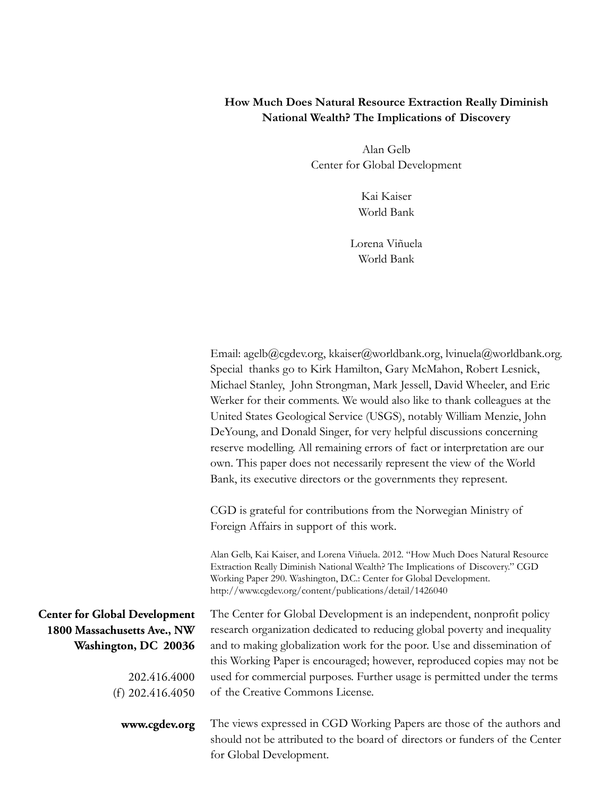#### **How Much Does Natural Resource Extraction Really Diminish National Wealth? The Implications of Discovery**

Alan Gelb Center for Global Development

> Kai Kaiser World Bank

Lorena Viñuela World Bank

|                                      | Email: agelb@cgdev.org, kkaiser@worldbank.org, lvinuela@worldbank.org.                                                                                                                                                                                                                                 |
|--------------------------------------|--------------------------------------------------------------------------------------------------------------------------------------------------------------------------------------------------------------------------------------------------------------------------------------------------------|
|                                      | Special thanks go to Kirk Hamilton, Gary McMahon, Robert Lesnick,                                                                                                                                                                                                                                      |
|                                      | Michael Stanley, John Strongman, Mark Jessell, David Wheeler, and Eric                                                                                                                                                                                                                                 |
|                                      | Werker for their comments. We would also like to thank colleagues at the                                                                                                                                                                                                                               |
|                                      | United States Geological Service (USGS), notably William Menzie, John                                                                                                                                                                                                                                  |
|                                      | DeYoung, and Donald Singer, for very helpful discussions concerning                                                                                                                                                                                                                                    |
|                                      | reserve modelling. All remaining errors of fact or interpretation are our                                                                                                                                                                                                                              |
|                                      | own. This paper does not necessarily represent the view of the World                                                                                                                                                                                                                                   |
|                                      | Bank, its executive directors or the governments they represent.                                                                                                                                                                                                                                       |
|                                      | CGD is grateful for contributions from the Norwegian Ministry of                                                                                                                                                                                                                                       |
|                                      | Foreign Affairs in support of this work.                                                                                                                                                                                                                                                               |
|                                      | Alan Gelb, Kai Kaiser, and Lorena Viñuela. 2012. "How Much Does Natural Resource<br>Extraction Really Diminish National Wealth? The Implications of Discovery." CGD<br>Working Paper 290. Washington, D.C.: Center for Global Development.<br>http://www.cgdev.org/content/publications/detail/1426040 |
| <b>Center for Global Development</b> | The Center for Global Development is an independent, nonprofit policy                                                                                                                                                                                                                                  |
| 1800 Massachusetts Ave., NW          | research organization dedicated to reducing global poverty and inequality                                                                                                                                                                                                                              |
| Washington, DC 20036                 | and to making globalization work for the poor. Use and dissemination of                                                                                                                                                                                                                                |
|                                      | this Working Paper is encouraged; however, reproduced copies may not be                                                                                                                                                                                                                                |
| 202.416.4000                         | used for commercial purposes. Further usage is permitted under the terms                                                                                                                                                                                                                               |
| (f) $202.416.4050$                   | of the Creative Commons License.                                                                                                                                                                                                                                                                       |
| www.cgdev.org                        | The views expressed in CGD Working Papers are those of the authors and                                                                                                                                                                                                                                 |
|                                      | should not be attributed to the board of directors or funders of the Center                                                                                                                                                                                                                            |
|                                      | for Global Development.                                                                                                                                                                                                                                                                                |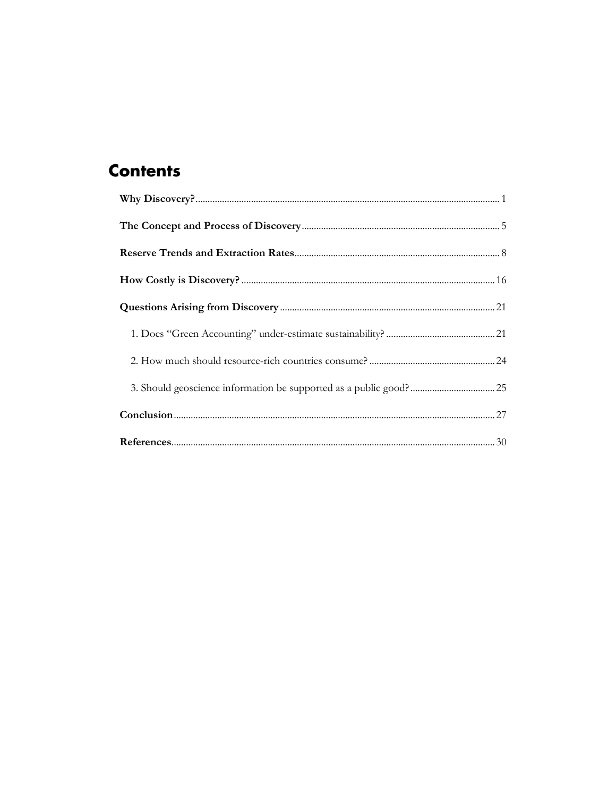### **Contents**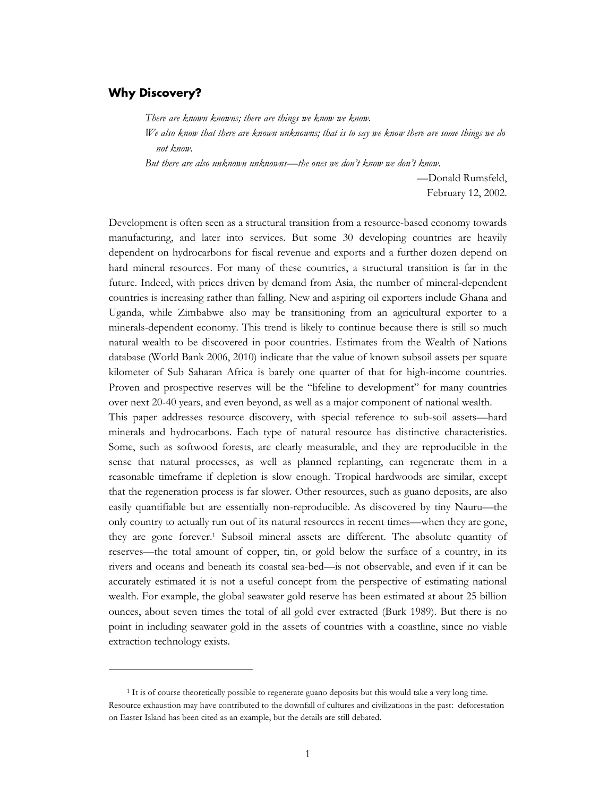#### <span id="page-4-0"></span>**Why Discovery?**

 $\overline{a}$ 

*There are known knowns; there are things we know we know.*

*We also know that there are known unknowns; that is to say we know there are some things we do not know.*

*But there are also unknown unknowns—the ones we don't know we don't know.*

—Donald Rumsfeld, February 12, 2002.

Development is often seen as a structural transition from a resource-based economy towards manufacturing, and later into services. But some 30 developing countries are heavily dependent on hydrocarbons for fiscal revenue and exports and a further dozen depend on hard mineral resources. For many of these countries, a structural transition is far in the future. Indeed, with prices driven by demand from Asia, the number of mineral-dependent countries is increasing rather than falling. New and aspiring oil exporters include Ghana and Uganda, while Zimbabwe also may be transitioning from an agricultural exporter to a minerals-dependent economy. This trend is likely to continue because there is still so much natural wealth to be discovered in poor countries. Estimates from the Wealth of Nations database (World Bank 2006, 2010) indicate that the value of known subsoil assets per square kilometer of Sub Saharan Africa is barely one quarter of that for high-income countries. Proven and prospective reserves will be the "lifeline to development" for many countries over next 20-40 years, and even beyond, as well as a major component of national wealth.

This paper addresses resource discovery, with special reference to sub-soil assets—hard minerals and hydrocarbons. Each type of natural resource has distinctive characteristics. Some, such as softwood forests, are clearly measurable, and they are reproducible in the sense that natural processes, as well as planned replanting, can regenerate them in a reasonable timeframe if depletion is slow enough. Tropical hardwoods are similar, except that the regeneration process is far slower. Other resources, such as guano deposits, are also easily quantifiable but are essentially non-reproducible. As discovered by tiny Nauru—the only country to actually run out of its natural resources in recent times—when they are gone, they are gone forever.<sup>1</sup> Subsoil mineral assets are different. The absolute quantity of reserves—the total amount of copper, tin, or gold below the surface of a country, in its rivers and oceans and beneath its coastal sea-bed—is not observable, and even if it can be accurately estimated it is not a useful concept from the perspective of estimating national wealth. For example, the global seawater gold reserve has been estimated at about 25 billion ounces, about seven times the total of all gold ever extracted (Burk 1989). But there is no point in including seawater gold in the assets of countries with a coastline, since no viable extraction technology exists.

<sup>&</sup>lt;sup>1</sup> It is of course theoretically possible to regenerate guano deposits but this would take a very long time. Resource exhaustion may have contributed to the downfall of cultures and civilizations in the past: deforestation on Easter Island has been cited as an example, but the details are still debated.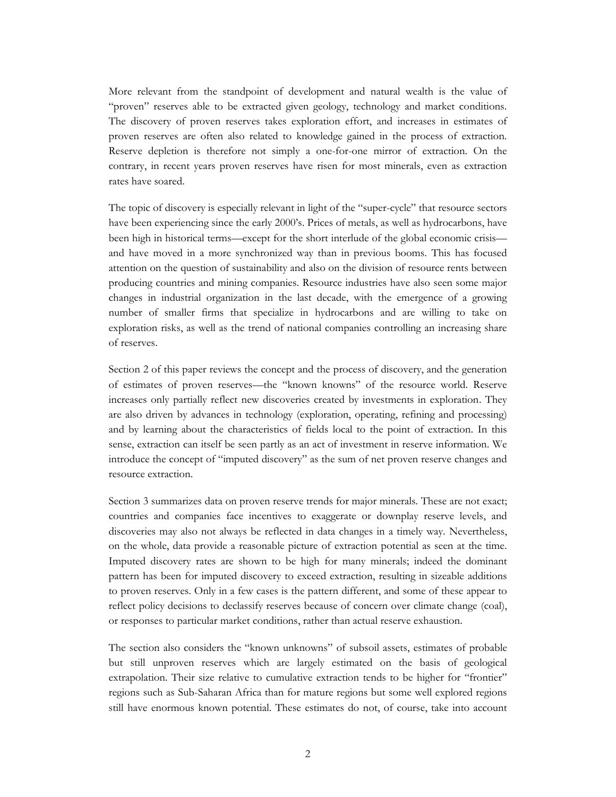More relevant from the standpoint of development and natural wealth is the value of "proven" reserves able to be extracted given geology, technology and market conditions. The discovery of proven reserves takes exploration effort, and increases in estimates of proven reserves are often also related to knowledge gained in the process of extraction. Reserve depletion is therefore not simply a one-for-one mirror of extraction. On the contrary, in recent years proven reserves have risen for most minerals, even as extraction rates have soared.

The topic of discovery is especially relevant in light of the "super-cycle" that resource sectors have been experiencing since the early 2000's. Prices of metals, as well as hydrocarbons, have been high in historical terms—except for the short interlude of the global economic crisis and have moved in a more synchronized way than in previous booms. This has focused attention on the question of sustainability and also on the division of resource rents between producing countries and mining companies. Resource industries have also seen some major changes in industrial organization in the last decade, with the emergence of a growing number of smaller firms that specialize in hydrocarbons and are willing to take on exploration risks, as well as the trend of national companies controlling an increasing share of reserves.

Section 2 of this paper reviews the concept and the process of discovery, and the generation of estimates of proven reserves—the "known knowns" of the resource world. Reserve increases only partially reflect new discoveries created by investments in exploration. They are also driven by advances in technology (exploration, operating, refining and processing) and by learning about the characteristics of fields local to the point of extraction. In this sense, extraction can itself be seen partly as an act of investment in reserve information. We introduce the concept of "imputed discovery" as the sum of net proven reserve changes and resource extraction.

Section 3 summarizes data on proven reserve trends for major minerals. These are not exact; countries and companies face incentives to exaggerate or downplay reserve levels, and discoveries may also not always be reflected in data changes in a timely way. Nevertheless, on the whole, data provide a reasonable picture of extraction potential as seen at the time. Imputed discovery rates are shown to be high for many minerals; indeed the dominant pattern has been for imputed discovery to exceed extraction, resulting in sizeable additions to proven reserves. Only in a few cases is the pattern different, and some of these appear to reflect policy decisions to declassify reserves because of concern over climate change (coal), or responses to particular market conditions, rather than actual reserve exhaustion.

The section also considers the "known unknowns" of subsoil assets, estimates of probable but still unproven reserves which are largely estimated on the basis of geological extrapolation. Their size relative to cumulative extraction tends to be higher for "frontier" regions such as Sub-Saharan Africa than for mature regions but some well explored regions still have enormous known potential. These estimates do not, of course, take into account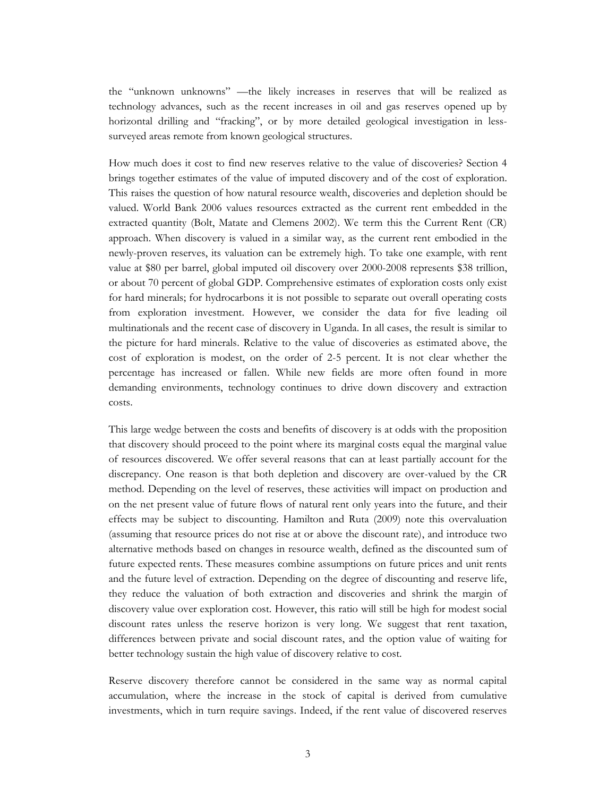the "unknown unknowns" —the likely increases in reserves that will be realized as technology advances, such as the recent increases in oil and gas reserves opened up by horizontal drilling and "fracking", or by more detailed geological investigation in lesssurveyed areas remote from known geological structures.

How much does it cost to find new reserves relative to the value of discoveries? Section 4 brings together estimates of the value of imputed discovery and of the cost of exploration. This raises the question of how natural resource wealth, discoveries and depletion should be valued. World Bank 2006 values resources extracted as the current rent embedded in the extracted quantity (Bolt, Matate and Clemens 2002). We term this the Current Rent (CR) approach. When discovery is valued in a similar way, as the current rent embodied in the newly-proven reserves, its valuation can be extremely high. To take one example, with rent value at \$80 per barrel, global imputed oil discovery over 2000-2008 represents \$38 trillion, or about 70 percent of global GDP. Comprehensive estimates of exploration costs only exist for hard minerals; for hydrocarbons it is not possible to separate out overall operating costs from exploration investment. However, we consider the data for five leading oil multinationals and the recent case of discovery in Uganda. In all cases, the result is similar to the picture for hard minerals. Relative to the value of discoveries as estimated above, the cost of exploration is modest, on the order of 2-5 percent. It is not clear whether the percentage has increased or fallen. While new fields are more often found in more demanding environments, technology continues to drive down discovery and extraction costs.

This large wedge between the costs and benefits of discovery is at odds with the proposition that discovery should proceed to the point where its marginal costs equal the marginal value of resources discovered. We offer several reasons that can at least partially account for the discrepancy. One reason is that both depletion and discovery are over-valued by the CR method. Depending on the level of reserves, these activities will impact on production and on the net present value of future flows of natural rent only years into the future, and their effects may be subject to discounting. Hamilton and Ruta (2009) note this overvaluation (assuming that resource prices do not rise at or above the discount rate), and introduce two alternative methods based on changes in resource wealth, defined as the discounted sum of future expected rents. These measures combine assumptions on future prices and unit rents and the future level of extraction. Depending on the degree of discounting and reserve life, they reduce the valuation of both extraction and discoveries and shrink the margin of discovery value over exploration cost. However, this ratio will still be high for modest social discount rates unless the reserve horizon is very long. We suggest that rent taxation, differences between private and social discount rates, and the option value of waiting for better technology sustain the high value of discovery relative to cost.

Reserve discovery therefore cannot be considered in the same way as normal capital accumulation, where the increase in the stock of capital is derived from cumulative investments, which in turn require savings. Indeed, if the rent value of discovered reserves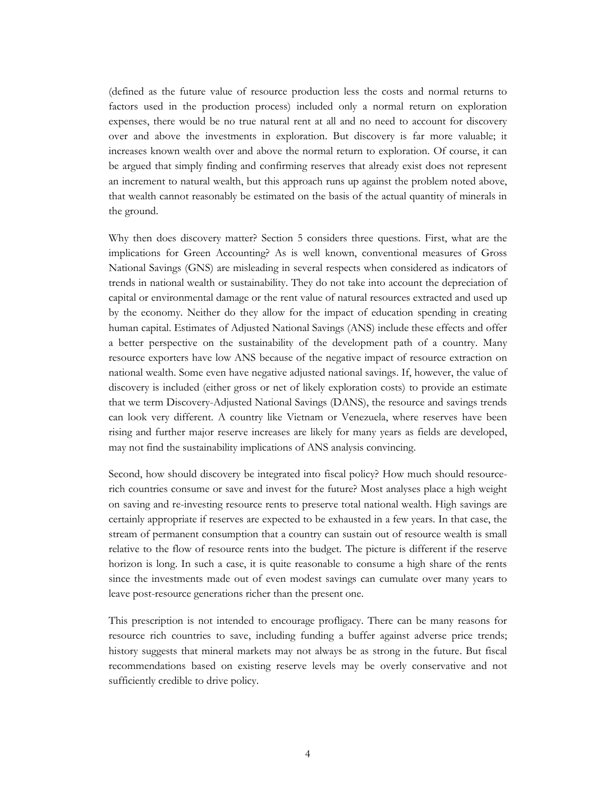(defined as the future value of resource production less the costs and normal returns to factors used in the production process) included only a normal return on exploration expenses, there would be no true natural rent at all and no need to account for discovery over and above the investments in exploration. But discovery is far more valuable; it increases known wealth over and above the normal return to exploration. Of course, it can be argued that simply finding and confirming reserves that already exist does not represent an increment to natural wealth, but this approach runs up against the problem noted above, that wealth cannot reasonably be estimated on the basis of the actual quantity of minerals in the ground.

Why then does discovery matter? Section 5 considers three questions. First, what are the implications for Green Accounting? As is well known, conventional measures of Gross National Savings (GNS) are misleading in several respects when considered as indicators of trends in national wealth or sustainability. They do not take into account the depreciation of capital or environmental damage or the rent value of natural resources extracted and used up by the economy. Neither do they allow for the impact of education spending in creating human capital. Estimates of Adjusted National Savings (ANS) include these effects and offer a better perspective on the sustainability of the development path of a country. Many resource exporters have low ANS because of the negative impact of resource extraction on national wealth. Some even have negative adjusted national savings. If, however, the value of discovery is included (either gross or net of likely exploration costs) to provide an estimate that we term Discovery-Adjusted National Savings (DANS), the resource and savings trends can look very different. A country like Vietnam or Venezuela, where reserves have been rising and further major reserve increases are likely for many years as fields are developed, may not find the sustainability implications of ANS analysis convincing.

Second, how should discovery be integrated into fiscal policy? How much should resourcerich countries consume or save and invest for the future? Most analyses place a high weight on saving and re-investing resource rents to preserve total national wealth. High savings are certainly appropriate if reserves are expected to be exhausted in a few years. In that case, the stream of permanent consumption that a country can sustain out of resource wealth is small relative to the flow of resource rents into the budget. The picture is different if the reserve horizon is long. In such a case, it is quite reasonable to consume a high share of the rents since the investments made out of even modest savings can cumulate over many years to leave post-resource generations richer than the present one.

This prescription is not intended to encourage profligacy. There can be many reasons for resource rich countries to save, including funding a buffer against adverse price trends; history suggests that mineral markets may not always be as strong in the future. But fiscal recommendations based on existing reserve levels may be overly conservative and not sufficiently credible to drive policy.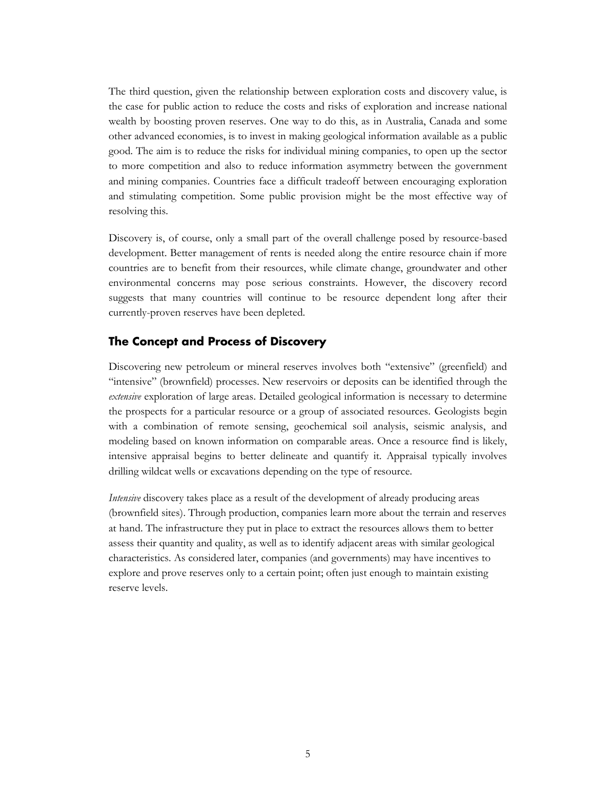The third question, given the relationship between exploration costs and discovery value, is the case for public action to reduce the costs and risks of exploration and increase national wealth by boosting proven reserves. One way to do this, as in Australia, Canada and some other advanced economies, is to invest in making geological information available as a public good. The aim is to reduce the risks for individual mining companies, to open up the sector to more competition and also to reduce information asymmetry between the government and mining companies. Countries face a difficult tradeoff between encouraging exploration and stimulating competition. Some public provision might be the most effective way of resolving this.

Discovery is, of course, only a small part of the overall challenge posed by resource-based development. Better management of rents is needed along the entire resource chain if more countries are to benefit from their resources, while climate change, groundwater and other environmental concerns may pose serious constraints. However, the discovery record suggests that many countries will continue to be resource dependent long after their currently-proven reserves have been depleted.

#### <span id="page-8-0"></span>**The Concept and Process of Discovery**

Discovering new petroleum or mineral reserves involves both "extensive" (greenfield) and "intensive" (brownfield) processes. New reservoirs or deposits can be identified through the *extensive* exploration of large areas. Detailed geological information is necessary to determine the prospects for a particular resource or a group of associated resources. Geologists begin with a combination of remote sensing, geochemical soil analysis, seismic analysis, and modeling based on known information on comparable areas. Once a resource find is likely, intensive appraisal begins to better delineate and quantify it. Appraisal typically involves drilling wildcat wells or excavations depending on the type of resource.

*Intensive* discovery takes place as a result of the development of already producing areas (brownfield sites). Through production, companies learn more about the terrain and reserves at hand. The infrastructure they put in place to extract the resources allows them to better assess their quantity and quality, as well as to identify adjacent areas with similar geological characteristics. As considered later, companies (and governments) may have incentives to explore and prove reserves only to a certain point; often just enough to maintain existing reserve levels.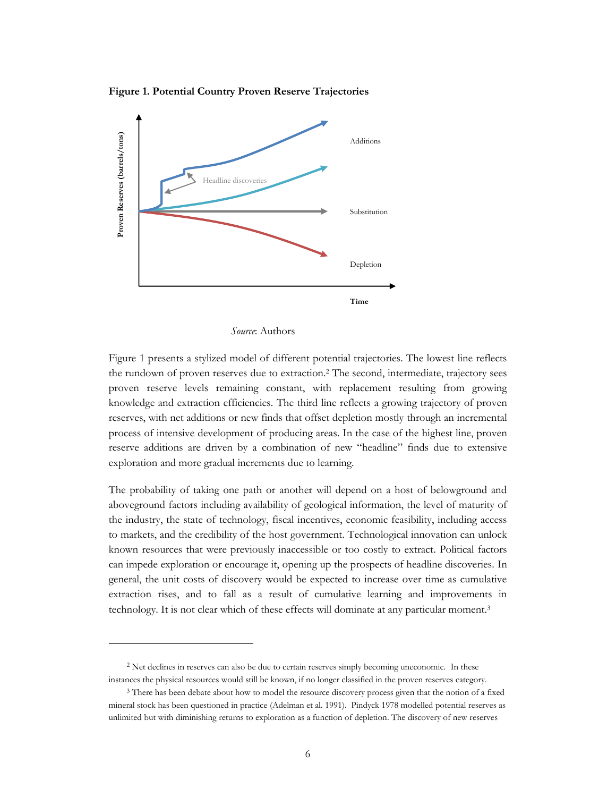**Figure 1. Potential Country Proven Reserve Trajectories**



*Source*: Authors

Figure 1 presents a stylized model of different potential trajectories. The lowest line reflects the rundown of proven reserves due to extraction.<sup>2</sup> The second, intermediate, trajectory sees proven reserve levels remaining constant, with replacement resulting from growing knowledge and extraction efficiencies. The third line reflects a growing trajectory of proven reserves, with net additions or new finds that offset depletion mostly through an incremental process of intensive development of producing areas. In the case of the highest line, proven reserve additions are driven by a combination of new "headline" finds due to extensive exploration and more gradual increments due to learning.

The probability of taking one path or another will depend on a host of belowground and aboveground factors including availability of geological information, the level of maturity of the industry, the state of technology, fiscal incentives, economic feasibility, including access to markets, and the credibility of the host government. Technological innovation can unlock known resources that were previously inaccessible or too costly to extract. Political factors can impede exploration or encourage it, opening up the prospects of headline discoveries. In general, the unit costs of discovery would be expected to increase over time as cumulative extraction rises, and to fall as a result of cumulative learning and improvements in technology. It is not clear which of these effects will dominate at any particular moment.<sup>3</sup>

<sup>&</sup>lt;sup>2</sup> Net declines in reserves can also be due to certain reserves simply becoming uneconomic. In these instances the physical resources would still be known, if no longer classified in the proven reserves category.

<sup>&</sup>lt;sup>3</sup> There has been debate about how to model the resource discovery process given that the notion of a fixed mineral stock has been questioned in practice (Adelman et al. 1991). Pindyck 1978 modelled potential reserves as unlimited but with diminishing returns to exploration as a function of depletion. The discovery of new reserves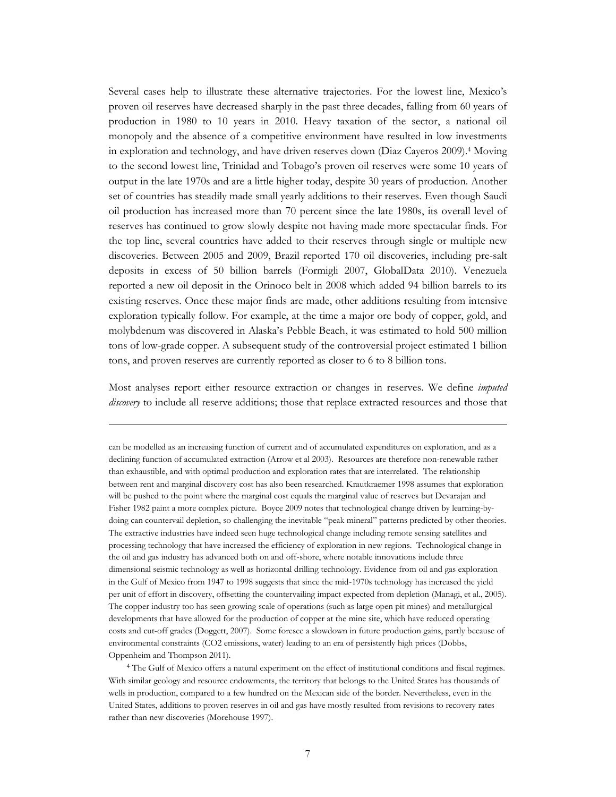Several cases help to illustrate these alternative trajectories. For the lowest line, Mexico's proven oil reserves have decreased sharply in the past three decades, falling from 60 years of production in 1980 to 10 years in 2010. Heavy taxation of the sector, a national oil monopoly and the absence of a competitive environment have resulted in low investments in exploration and technology, and have driven reserves down (Diaz Cayeros 2009).<sup>4</sup> Moving to the second lowest line, Trinidad and Tobago's proven oil reserves were some 10 years of output in the late 1970s and are a little higher today, despite 30 years of production. Another set of countries has steadily made small yearly additions to their reserves. Even though Saudi oil production has increased more than 70 percent since the late 1980s, its overall level of reserves has continued to grow slowly despite not having made more spectacular finds. For the top line, several countries have added to their reserves through single or multiple new discoveries. Between 2005 and 2009, Brazil reported 170 oil discoveries, including pre-salt deposits in excess of 50 billion barrels (Formigli 2007, GlobalData 2010). Venezuela reported a new oil deposit in the Orinoco belt in 2008 which added 94 billion barrels to its existing reserves. Once these major finds are made, other additions resulting from intensive exploration typically follow. For example, at the time a major ore body of copper, gold, and molybdenum was discovered in Alaska's Pebble Beach, it was estimated to hold 500 million tons of low-grade copper. A subsequent study of the controversial project estimated 1 billion tons, and proven reserves are currently reported as closer to 6 to 8 billion tons.

Most analyses report either resource extraction or changes in reserves. We define *imputed discovery* to include all reserve additions; those that replace extracted resources and those that

 $\overline{a}$ 

can be modelled as an increasing function of current and of accumulated expenditures on exploration, and as a declining function of accumulated extraction (Arrow et al 2003). Resources are therefore non-renewable rather than exhaustible, and with optimal production and exploration rates that are interrelated. The relationship between rent and marginal discovery cost has also been researched. Krautkraemer 1998 assumes that exploration will be pushed to the point where the marginal cost equals the marginal value of reserves but Devarajan and Fisher 1982 paint a more complex picture. Boyce 2009 notes that technological change driven by learning-bydoing can countervail depletion, so challenging the inevitable "peak mineral" patterns predicted by other theories. The extractive industries have indeed seen huge technological change including remote sensing satellites and processing technology that have increased the efficiency of exploration in new regions. Technological change in the oil and gas industry has advanced both on and off-shore, where notable innovations include three dimensional seismic technology as well as horizontal drilling technology. Evidence from oil and gas exploration in the Gulf of Mexico from 1947 to 1998 suggests that since the mid-1970s technology has increased the yield per unit of effort in discovery, offsetting the countervailing impact expected from depletion (Managi, et al., 2005). The copper industry too has seen growing scale of operations (such as large open pit mines) and metallurgical developments that have allowed for the production of copper at the mine site, which have reduced operating costs and cut-off grades (Doggett, 2007). Some foresee a slowdown in future production gains, partly because of environmental constraints (CO2 emissions, water) leading to an era of persistently high prices (Dobbs, Oppenheim and Thompson 2011).

<sup>4</sup> The Gulf of Mexico offers a natural experiment on the effect of institutional conditions and fiscal regimes. With similar geology and resource endowments, the territory that belongs to the United States has thousands of wells in production, compared to a few hundred on the Mexican side of the border. Nevertheless, even in the United States, additions to proven reserves in oil and gas have mostly resulted from revisions to recovery rates rather than new discoveries (Morehouse 1997).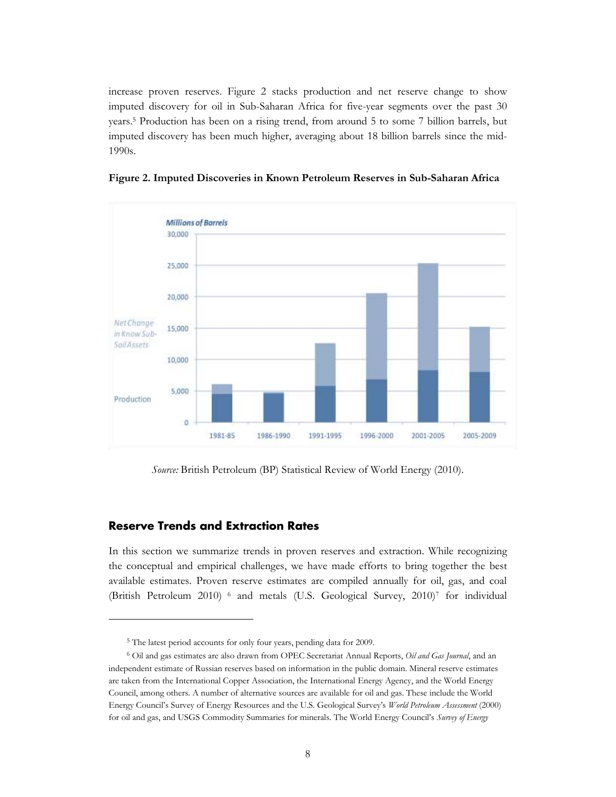increase proven reserves. Figure 2 stacks production and net reserve change to show imputed discovery for oil in Sub-Saharan Africa for five-year segments over the past 30 years. <sup>5</sup> Production has been on a rising trend, from around 5 to some 7 billion barrels, but imputed discovery has been much higher, averaging about 18 billion barrels since the mid-1990s.



**Figure 2. Imputed Discoveries in Known Petroleum Reserves in Sub-Saharan Africa**

*Source:* British Petroleum (BP) Statistical Review of World Energy (2010).

#### <span id="page-11-0"></span>**Reserve Trends and Extraction Rates**

 $\overline{a}$ 

In this section we summarize trends in proven reserves and extraction. While recognizing the conceptual and empirical challenges, we have made efforts to bring together the best available estimates. Proven reserve estimates are compiled annually for oil, gas, and coal (British Petroleum 2010) <sup>6</sup> and metals (U.S. Geological Survey, 2010) <sup>7</sup> for individual

<sup>5</sup> The latest period accounts for only four years, pending data for 2009.

<sup>6</sup> Oil and gas estimates are also drawn from OPEC Secretariat Annual Reports, *Oil and Gas Journal*, and an independent estimate of Russian reserves based on information in the public domain. Mineral reserve estimates are taken from the International Copper Association, the International Energy Agency, and the World Energy Council, among others. A number of alternative sources are available for oil and gas. These include the World Energy Council's Survey of Energy Resources and the U.S. Geological Survey's *World Petroleum Assessment* (2000) for oil and gas, and USGS Commodity Summaries for minerals. The World Energy Council's *Survey of Energy*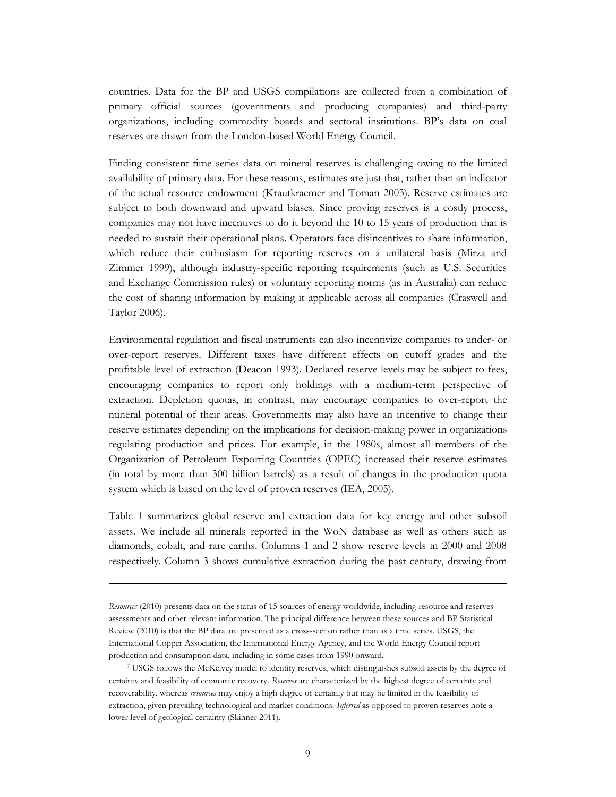countries. Data for the BP and USGS compilations are collected from a combination of primary official sources (governments and producing companies) and third-party organizations, including commodity boards and sectoral institutions. BP's data on coal reserves are drawn from the London-based World Energy Council.

Finding consistent time series data on mineral reserves is challenging owing to the limited availability of primary data. For these reasons, estimates are just that, rather than an indicator of the actual resource endowment (Krautkraemer and Toman 2003). Reserve estimates are subject to both downward and upward biases. Since proving reserves is a costly process, companies may not have incentives to do it beyond the 10 to 15 years of production that is needed to sustain their operational plans. Operators face disincentives to share information, which reduce their enthusiasm for reporting reserves on a unilateral basis (Mirza and Zimmer 1999), although industry-specific reporting requirements (such as U.S. Securities and Exchange Commission rules) or voluntary reporting norms (as in Australia) can reduce the cost of sharing information by making it applicable across all companies (Craswell and Taylor 2006).

Environmental regulation and fiscal instruments can also incentivize companies to under- or over-report reserves. Different taxes have different effects on cutoff grades and the profitable level of extraction (Deacon 1993). Declared reserve levels may be subject to fees, encouraging companies to report only holdings with a medium-term perspective of extraction. Depletion quotas, in contrast, may encourage companies to over-report the mineral potential of their areas. Governments may also have an incentive to change their reserve estimates depending on the implications for decision-making power in organizations regulating production and prices. For example, in the 1980s, almost all members of the Organization of Petroleum Exporting Countries (OPEC) increased their reserve estimates (in total by more than 300 billion barrels) as a result of changes in the production quota system which is based on the level of proven reserves (IEA, 2005).

Table 1 summarizes global reserve and extraction data for key energy and other subsoil assets. We include all minerals reported in the WoN database as well as others such as diamonds, cobalt, and rare earths. Columns 1 and 2 show reserve levels in 2000 and 2008 respectively. Column 3 shows cumulative extraction during the past century, drawing from

*Resources* (2010) presents data on the status of 15 sources of energy worldwide, including resource and reserves assessments and other relevant information. The principal difference between these sources and BP Statistical Review (2010) is that the BP data are presented as a cross-section rather than as a time series. USGS, the International Copper Association, the International Energy Agency, and the World Energy Council report production and consumption data, including in some cases from 1990 onward.

<sup>7</sup> USGS follows the McKelvey model to identify reserves, which distinguishes subsoil assets by the degree of certainty and feasibility of economic recovery. *Reserves* are characterized by the highest degree of certainty and recoverability, whereas *resources* may enjoy a high degree of certainly but may be limited in the feasibility of extraction, given prevailing technological and market conditions. *Inferred* as opposed to proven reserves note a lower level of geological certainty (Skinner 2011).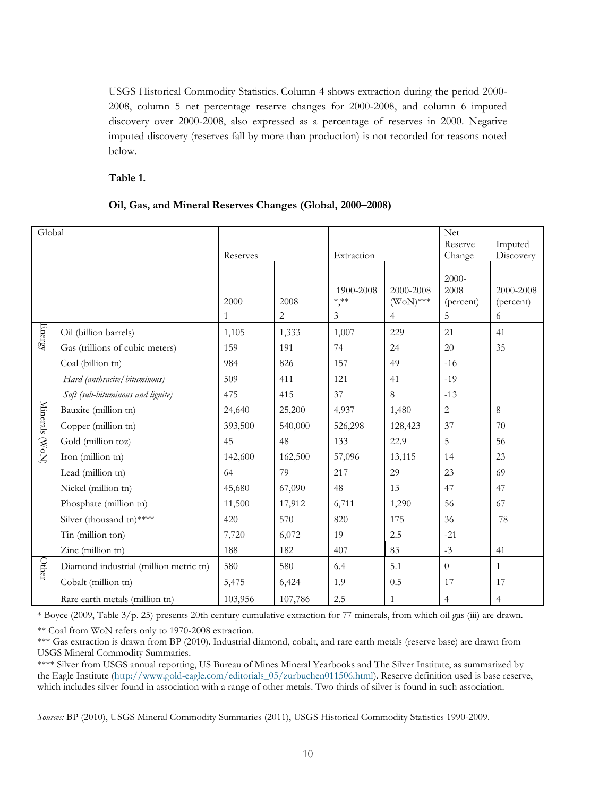USGS Historical Commodity Statistics. Column 4 shows extraction during the period 2000- 2008, column 5 net percentage reserve changes for 2000-2008, and column 6 imputed discovery over 2000-2008, also expressed as a percentage of reserves in 2000. Negative imputed discovery (reserves fall by more than production) is not recorded for reasons noted below.

#### **Table 1.**

#### **Oil, Gas, and Mineral Reserves Changes (Global, 2000–2008)**

| Global         |                                        |           |           |                                   |                                            | <b>Net</b>                      |                             |
|----------------|----------------------------------------|-----------|-----------|-----------------------------------|--------------------------------------------|---------------------------------|-----------------------------|
|                |                                        |           |           |                                   |                                            | Reserve                         | Imputed                     |
|                |                                        | Reserves  |           | Extraction                        |                                            | Change                          | Discovery                   |
|                |                                        | 2000<br>1 | 2008<br>2 | 1900-2008<br>$^{\ast,*\ast}$<br>3 | 2000-2008<br>$(WoN)$ ***<br>$\overline{4}$ | 2000-<br>2008<br>(percent)<br>5 | 2000-2008<br>(percent)<br>6 |
| Energy         | Oil (billion barrels)                  | 1,105     | 1,333     | 1,007                             | 229                                        | 21                              | 41                          |
|                | Gas (trillions of cubic meters)        | 159       | 191       | 74                                | 24                                         | 20                              | 35                          |
|                | Coal (billion tn)                      | 984       | 826       | 157                               | 49                                         | $-16$                           |                             |
|                | Hard (anthracite/bituminous)           | 509       | 411       | 121                               | 41                                         | $-19$                           |                             |
|                | Soft (sub-bituminous and lignite)      | 475       | 415       | 37                                | 8                                          | $-13$                           |                             |
| Minerals (WoN) | Bauxite (million tn)                   | 24,640    | 25,200    | 4,937                             | 1,480                                      | $\overline{c}$                  | 8                           |
|                | Copper (million tn)                    | 393,500   | 540,000   | 526,298                           | 128,423                                    | 37                              | 70                          |
|                | Gold (million toz)                     | 45        | 48        | 133                               | 22.9                                       | 5                               | 56                          |
|                | Iron (million tn)                      | 142,600   | 162,500   | 57,096                            | 13,115                                     | 14                              | 23                          |
|                | Lead (million tn)                      | 64        | 79        | 217                               | 29                                         | 23                              | 69                          |
|                | Nickel (million tn)                    | 45,680    | 67,090    | 48                                | 13                                         | 47                              | 47                          |
|                | Phosphate (million tn)                 | 11,500    | 17,912    | 6,711                             | 1,290                                      | 56                              | 67                          |
|                | Silver (thousand tn)****               | 420       | 570       | 820                               | 175                                        | 36                              | 78                          |
|                | Tin (million ton)                      | 7,720     | 6,072     | 19                                | 2.5                                        | $-21$                           |                             |
|                | Zinc (million tn)                      | 188       | 182       | 407                               | 83                                         | $-3$                            | 41                          |
| Other          | Diamond industrial (million metric tn) | 580       | 580       | 6.4                               | 5.1                                        | $\theta$                        | $\mathbf{1}$                |
|                | Cobalt (million tn)                    | 5,475     | 6,424     | 1.9                               | 0.5                                        | 17                              | 17                          |
|                | Rare earth metals (million tn)         | 103,956   | 107,786   | 2.5                               | $\mathbf{1}$                               | $\overline{4}$                  | $\overline{4}$              |

\* Boyce (2009, Table 3/p. 25) presents 20th century cumulative extraction for 77 minerals, from which oil gas (iii) are drawn.

\*\* Coal from WoN refers only to 1970-2008 extraction.

\*\*\* Gas extraction is drawn from BP (2010). Industrial diamond, cobalt, and rare earth metals (reserve base) are drawn from USGS Mineral Commodity Summaries.

\*\*\*\* Silver from USGS annual reporting, US Bureau of Mines Mineral Yearbooks and The Silver Institute, as summarized by the Eagle Institute [\(http://www.gold-eagle.com/editorials\\_05/zurbuchen011506.html\)](http://www.gold-eagle.com/editorials_05/zurbuchen011506.html). Reserve definition used is base reserve, which includes silver found in association with a range of other metals. Two thirds of silver is found in such association.

*Sources:* BP (2010), USGS Mineral Commodity Summaries (2011), USGS Historical Commodity Statistics 1990-2009.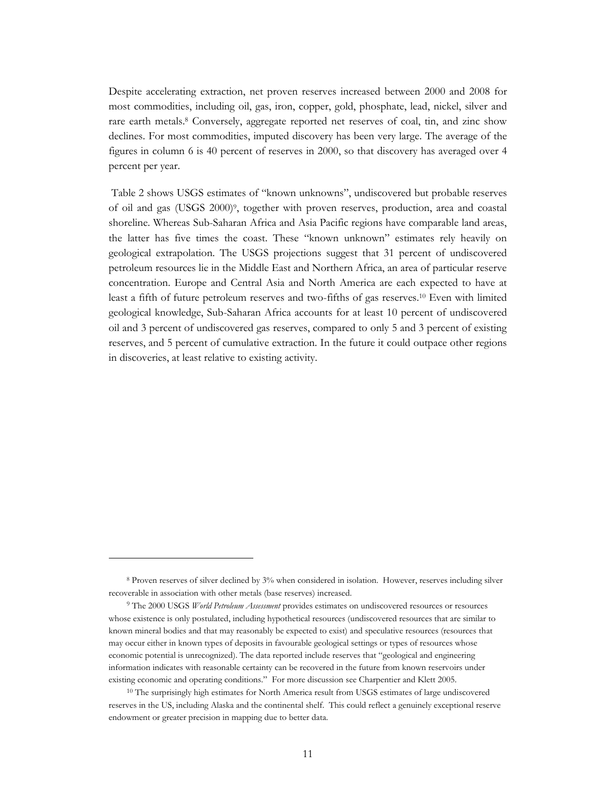Despite accelerating extraction, net proven reserves increased between 2000 and 2008 for most commodities, including oil, gas, iron, copper, gold, phosphate, lead, nickel, silver and rare earth metals. <sup>8</sup> Conversely, aggregate reported net reserves of coal, tin, and zinc show declines. For most commodities, imputed discovery has been very large. The average of the figures in column 6 is 40 percent of reserves in 2000, so that discovery has averaged over 4 percent per year.

Table 2 shows USGS estimates of "known unknowns", undiscovered but probable reserves of oil and gas (USGS 2000) 9 , together with proven reserves, production, area and coastal shoreline. Whereas Sub-Saharan Africa and Asia Pacific regions have comparable land areas, the latter has five times the coast. These "known unknown" estimates rely heavily on geological extrapolation. The USGS projections suggest that 31 percent of undiscovered petroleum resources lie in the Middle East and Northern Africa, an area of particular reserve concentration. Europe and Central Asia and North America are each expected to have at least a fifth of future petroleum reserves and two-fifths of gas reserves.<sup>10</sup> Even with limited geological knowledge, Sub-Saharan Africa accounts for at least 10 percent of undiscovered oil and 3 percent of undiscovered gas reserves, compared to only 5 and 3 percent of existing reserves, and 5 percent of cumulative extraction. In the future it could outpace other regions in discoveries, at least relative to existing activity.

<sup>8</sup> Proven reserves of silver declined by 3% when considered in isolation. However, reserves including silver recoverable in association with other metals (base reserves) increased.

<sup>9</sup> The 2000 USGS *World Petroleum Assessment* provides estimates on undiscovered resources or resources whose existence is only postulated, including hypothetical resources (undiscovered resources that are similar to known mineral bodies and that may reasonably be expected to exist) and speculative resources (resources that may occur either in known types of deposits in favourable geological settings or types of resources whose economic potential is unrecognized). The data reported include reserves that "geological and engineering information indicates with reasonable certainty can be recovered in the future from known reservoirs under existing economic and operating conditions." For more discussion see Charpentier and Klett 2005.

<sup>&</sup>lt;sup>10</sup> The surprisingly high estimates for North America result from USGS estimates of large undiscovered reserves in the US, including Alaska and the continental shelf. This could reflect a genuinely exceptional reserve endowment or greater precision in mapping due to better data.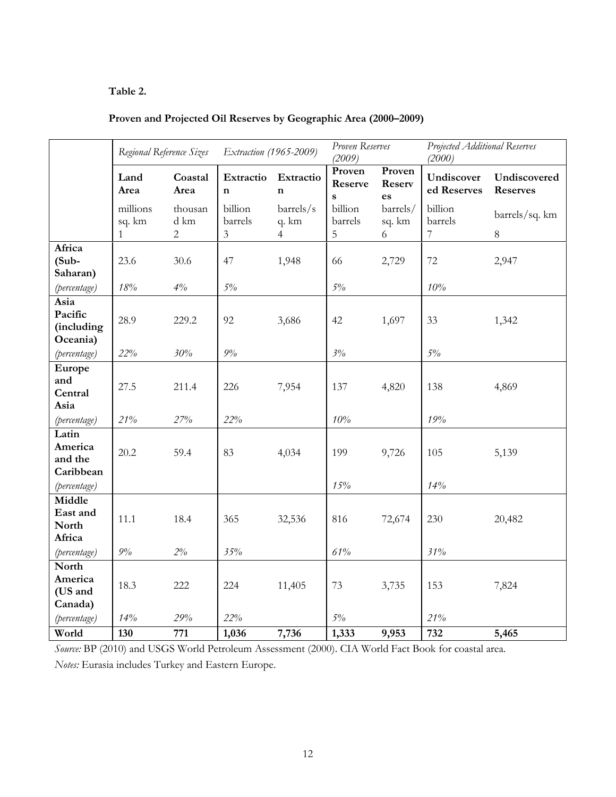#### **Table 2.**

| Proven and Projected Oil Reserves by Geographic Area (2000-2009) |  |  |  |  |
|------------------------------------------------------------------|--|--|--|--|
|                                                                  |  |  |  |  |

|                                           | Regional Reference Sizes           |                                 | Extraction (1965-2009)   |                                      | Proven Reserves<br>(2009)         |                         | Projected Additional Reserves<br>(2000) |                                 |
|-------------------------------------------|------------------------------------|---------------------------------|--------------------------|--------------------------------------|-----------------------------------|-------------------------|-----------------------------------------|---------------------------------|
|                                           | Land<br>Area                       | Coastal<br>Area                 | Extractio<br>$\mathbf n$ | Extractio<br>$\mathbf n$             | Proven<br>Reserve<br>$\mathbf{s}$ | Proven<br>Reserv<br>es  | Undiscover<br>ed Reserves               | Undiscovered<br><b>Reserves</b> |
|                                           | millions<br>sq. km<br>$\mathbf{1}$ | thousan<br>d km<br>$\mathbf{2}$ | billion<br>barrels<br>3  | barrels/s<br>q. km<br>$\overline{4}$ | billion<br>barrels<br>5           | barrels/<br>sq. km<br>6 | billion<br>barrels<br>7                 | barrels/sq. km<br>$\,8\,$       |
| Africa<br>$(Sub -$<br>Saharan)            | 23.6                               | 30.6                            | 47                       | 1,948                                | 66                                | 2,729                   | 72                                      | 2,947                           |
| (percentage)                              | $18\%$                             | 4%                              | $5\%$                    |                                      | $5\%$                             |                         | 10%                                     |                                 |
| Asia<br>Pacific<br>(including<br>Oceania) | 28.9                               | 229.2                           | 92                       | 3,686                                | 42                                | 1,697                   | 33                                      | 1,342                           |
| (percentage)                              | 22%                                | 30%                             | $9\%$                    |                                      | 3%                                |                         | $5\%$                                   |                                 |
| Europe<br>and<br>Central<br>Asia          | 27.5<br>21%                        | 211.4<br>27%                    | 226<br>22%               | 7,954                                | 137<br>$10\%$                     | 4,820                   | 138<br>19%                              | 4,869                           |
| (percentage)                              |                                    |                                 |                          |                                      |                                   |                         |                                         |                                 |
| Latin<br>America<br>and the<br>Caribbean  | 20.2                               | 59.4                            | 83                       | 4,034                                | 199                               | 9,726                   | 105                                     | 5,139                           |
| (percentage)                              |                                    |                                 |                          |                                      | 15%                               |                         | 14%                                     |                                 |
| Middle<br>East and<br>North<br>Africa     | 11.1                               | 18.4                            | 365                      | 32,536                               | 816                               | 72,674                  | 230                                     | 20,482                          |
| (percentage)                              | $9\%$                              | $2\%$                           | 35%                      |                                      | 61%                               |                         | 31%                                     |                                 |
| North<br>America<br>(US and<br>Canada)    | 18.3                               | 222                             | 224                      | 11,405                               | 73                                | 3,735                   | 153                                     | 7,824                           |
| (percentage)                              | 14%                                | 29%                             | 22%                      |                                      | $5\%$                             |                         | 21%                                     |                                 |
| World                                     | 130                                | 771                             | 1,036                    | 7,736                                | 1,333                             | 9,953                   | 732                                     | 5,465                           |

*Source:* BP (2010) and USGS World Petroleum Assessment (2000). CIA World Fact Book for coastal area. *Notes:* Eurasia includes Turkey and Eastern Europe.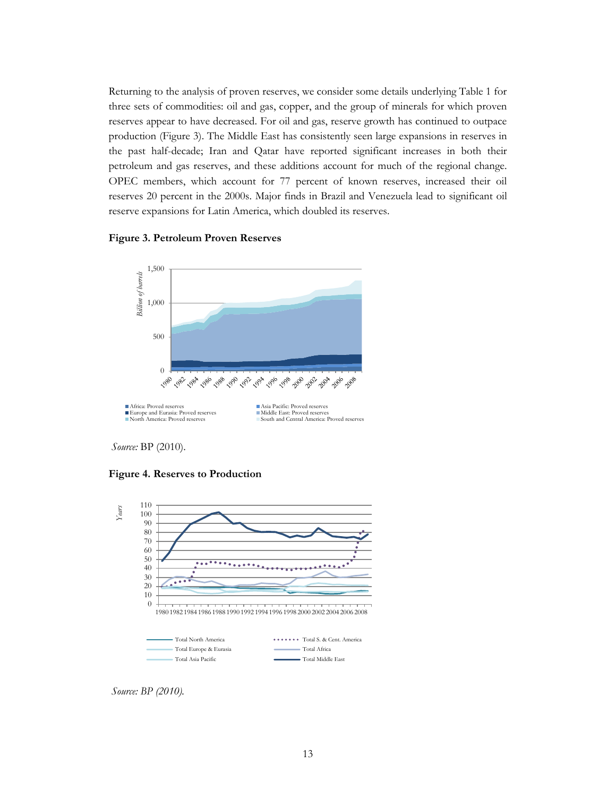Returning to the analysis of proven reserves, we consider some details underlying Table 1 for three sets of commodities: oil and gas, copper, and the group of minerals for which proven reserves appear to have decreased. For oil and gas, reserve growth has continued to outpace production [\(Figure 3\)](#page-16-0). The Middle East has consistently seen large expansions in reserves in the past half-decade; Iran and Qatar have reported significant increases in both their petroleum and gas reserves, and these additions account for much of the regional change. OPEC members, which account for 77 percent of known reserves, increased their oil reserves 20 percent in the 2000s. Major finds in Brazil and Venezuela lead to significant oil reserve expansions for Latin America, which doubled its reserves.

#### <span id="page-16-0"></span>**Figure 3. Petroleum Proven Reserves**



*Source:* BP (2010).

<span id="page-16-1"></span>**Figure 4. Reserves to Production** 



*Source: BP (2010).*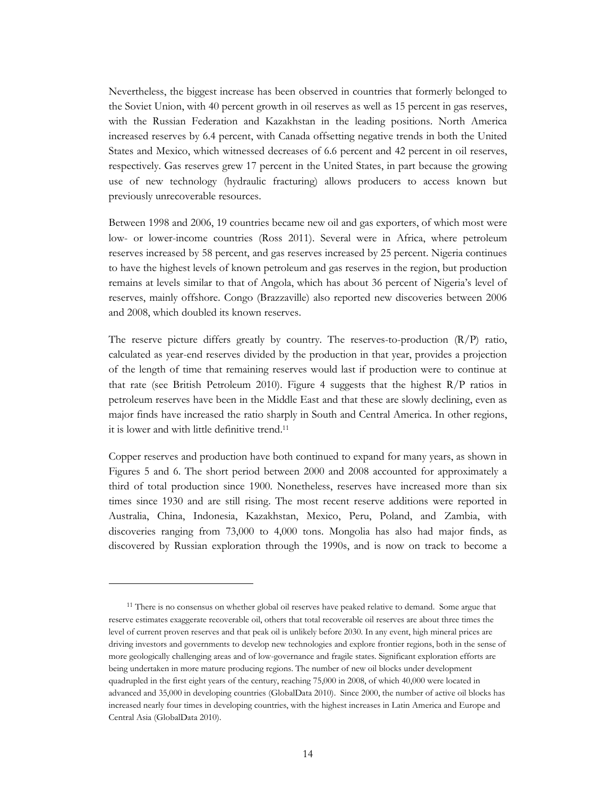Nevertheless, the biggest increase has been observed in countries that formerly belonged to the Soviet Union, with 40 percent growth in oil reserves as well as 15 percent in gas reserves, with the Russian Federation and Kazakhstan in the leading positions. North America increased reserves by 6.4 percent, with Canada offsetting negative trends in both the United States and Mexico, which witnessed decreases of 6.6 percent and 42 percent in oil reserves, respectively. Gas reserves grew 17 percent in the United States, in part because the growing use of new technology (hydraulic fracturing) allows producers to access known but previously unrecoverable resources.

Between 1998 and 2006, 19 countries became new oil and gas exporters, of which most were low- or lower-income countries (Ross 2011). Several were in Africa, where petroleum reserves increased by 58 percent, and gas reserves increased by 25 percent. Nigeria continues to have the highest levels of known petroleum and gas reserves in the region, but production remains at levels similar to that of Angola, which has about 36 percent of Nigeria's level of reserves, mainly offshore. Congo (Brazzaville) also reported new discoveries between 2006 and 2008, which doubled its known reserves.

The reserve picture differs greatly by country. The reserves-to-production  $(R/P)$  ratio, calculated as year-end reserves divided by the production in that year, provides a projection of the length of time that remaining reserves would last if production were to continue at that rate (see British Petroleum 2010). [Figure 4](#page-16-1) suggests that the highest  $R/P$  ratios in petroleum reserves have been in the Middle East and that these are slowly declining, even as major finds have increased the ratio sharply in South and Central America. In other regions, it is lower and with little definitive trend. 11

Copper reserves and production have both continued to expand for many years, as shown in Figures 5 and 6. The short period between 2000 and 2008 accounted for approximately a third of total production since 1900. Nonetheless, reserves have increased more than six times since 1930 and are still rising. The most recent reserve additions were reported in Australia, China, Indonesia, Kazakhstan, Mexico, Peru, Poland, and Zambia, with discoveries ranging from 73,000 to 4,000 tons. Mongolia has also had major finds, as discovered by Russian exploration through the 1990s, and is now on track to become a

<sup>&</sup>lt;sup>11</sup> There is no consensus on whether global oil reserves have peaked relative to demand. Some argue that reserve estimates exaggerate recoverable oil, others that total recoverable oil reserves are about three times the level of current proven reserves and that peak oil is unlikely before 2030. In any event, high mineral prices are driving investors and governments to develop new technologies and explore frontier regions, both in the sense of more geologically challenging areas and of low-governance and fragile states. Significant exploration efforts are being undertaken in more mature producing regions. The number of new oil blocks under development quadrupled in the first eight years of the century, reaching 75,000 in 2008, of which 40,000 were located in advanced and 35,000 in developing countries (GlobalData 2010). Since 2000, the number of active oil blocks has increased nearly four times in developing countries, with the highest increases in Latin America and Europe and Central Asia (GlobalData 2010).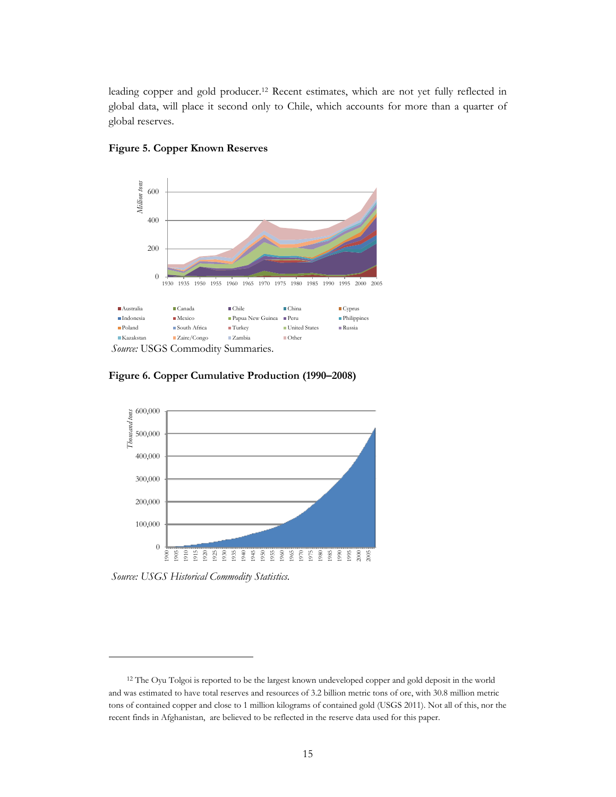leading copper and gold producer.<sup>12</sup> Recent estimates, which are not yet fully reflected in global data, will place it second only to Chile, which accounts for more than a quarter of global reserves.



#### **Figure 5. Copper Known Reserves**

**Figure 6. Copper Cumulative Production (1990–2008)**



*Source: USGS Historical Commodity Statistics.*

<sup>&</sup>lt;sup>12</sup> The Oyu Tolgoi is reported to be the largest known undeveloped copper and gold deposit in the world and was estimated to have total reserves and resources of 3.2 billion metric tons of ore, with 30.8 million metric tons of contained copper and close to 1 million kilograms of contained gold (USGS 2011). Not all of this, nor the recent finds in Afghanistan, are believed to be reflected in the reserve data used for this paper.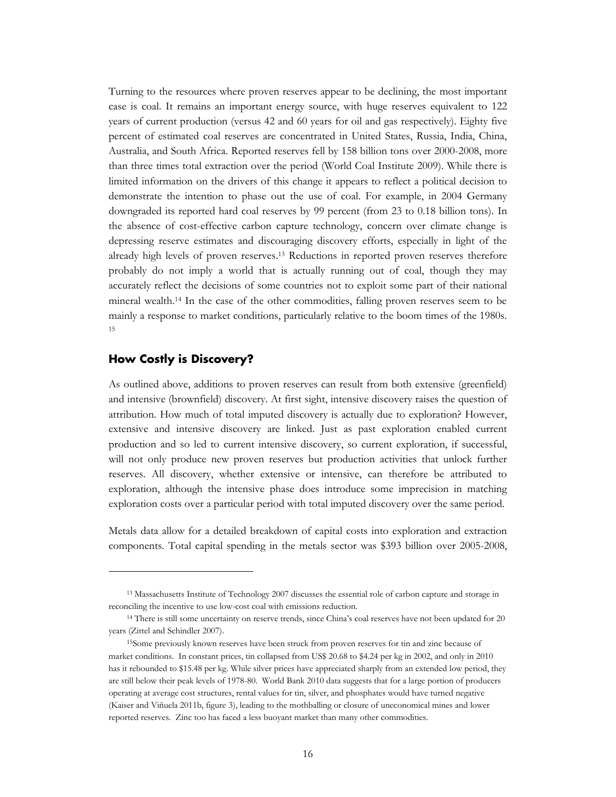Turning to the resources where proven reserves appear to be declining, the most important case is coal. It remains an important energy source, with huge reserves equivalent to 122 years of current production (versus 42 and 60 years for oil and gas respectively). Eighty five percent of estimated coal reserves are concentrated in United States, Russia, India, China, Australia, and South Africa. Reported reserves fell by 158 billion tons over 2000-2008, more than three times total extraction over the period (World Coal Institute 2009). While there is limited information on the drivers of this change it appears to reflect a political decision to demonstrate the intention to phase out the use of coal. For example, in 2004 Germany downgraded its reported hard coal reserves by 99 percent (from 23 to 0.18 billion tons). In the absence of cost-effective carbon capture technology, concern over climate change is depressing reserve estimates and discouraging discovery efforts, especially in light of the already high levels of proven reserves.<sup>13</sup> Reductions in reported proven reserves therefore probably do not imply a world that is actually running out of coal, though they may accurately reflect the decisions of some countries not to exploit some part of their national mineral wealth. <sup>14</sup> In the case of the other commodities, falling proven reserves seem to be mainly a response to market conditions, particularly relative to the boom times of the 1980s. 15

#### <span id="page-19-0"></span>**How Costly is Discovery?**

 $\overline{a}$ 

As outlined above, additions to proven reserves can result from both extensive (greenfield) and intensive (brownfield) discovery. At first sight, intensive discovery raises the question of attribution. How much of total imputed discovery is actually due to exploration? However, extensive and intensive discovery are linked. Just as past exploration enabled current production and so led to current intensive discovery, so current exploration, if successful, will not only produce new proven reserves but production activities that unlock further reserves. All discovery, whether extensive or intensive, can therefore be attributed to exploration, although the intensive phase does introduce some imprecision in matching exploration costs over a particular period with total imputed discovery over the same period.

Metals data allow for a detailed breakdown of capital costs into exploration and extraction components. Total capital spending in the metals sector was \$393 billion over 2005-2008,

<sup>13</sup> Massachusetts Institute of Technology 2007 discusses the essential role of carbon capture and storage in reconciling the incentive to use low-cost coal with emissions reduction.

<sup>14</sup> There is still some uncertainty on reserve trends, since China's coal reserves have not been updated for 20 years (Zittel and Schindler 2007).

<sup>15</sup>Some previously known reserves have been struck from proven reserves for tin and zinc because of market conditions. In constant prices, tin collapsed from US\$ 20.68 to \$4.24 per kg in 2002, and only in 2010 has it rebounded to \$15.48 per kg. While silver prices have appreciated sharply from an extended low period, they are still below their peak levels of 1978-80. World Bank 2010 data suggests that for a large portion of producers operating at average cost structures, rental values for tin, silver, and phosphates would have turned negative (Kaiser and Viñuela 2011b, figure 3), leading to the mothballing or closure of uneconomical mines and lower reported reserves. Zinc too has faced a less buoyant market than many other commodities.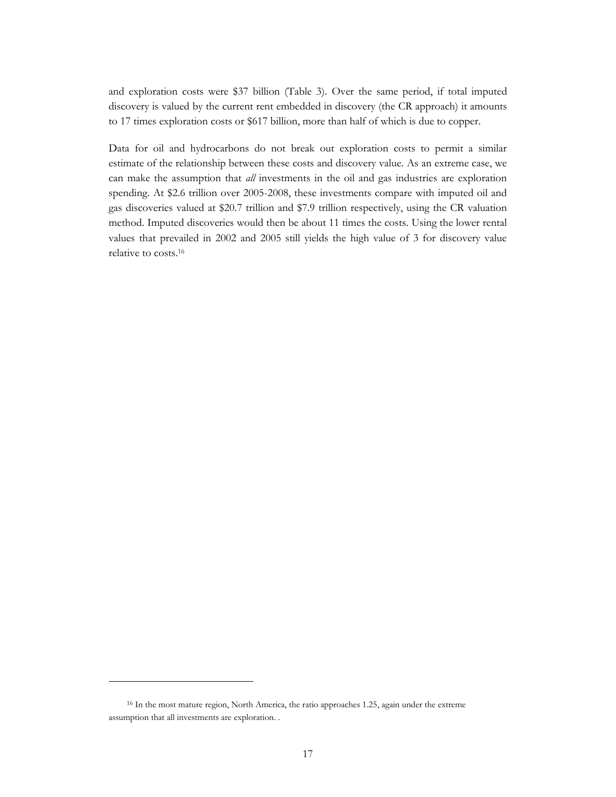and exploration costs were \$37 billion (Table 3). Over the same period, if total imputed discovery is valued by the current rent embedded in discovery (the CR approach) it amounts to 17 times exploration costs or \$617 billion, more than half of which is due to copper.

Data for oil and hydrocarbons do not break out exploration costs to permit a similar estimate of the relationship between these costs and discovery value. As an extreme case, we can make the assumption that *all* investments in the oil and gas industries are exploration spending. At \$2.6 trillion over 2005-2008, these investments compare with imputed oil and gas discoveries valued at \$20.7 trillion and \$7.9 trillion respectively, using the CR valuation method. Imputed discoveries would then be about 11 times the costs. Using the lower rental values that prevailed in 2002 and 2005 still yields the high value of 3 for discovery value relative to costs.<sup>16</sup>

<sup>&</sup>lt;sup>16</sup> In the most mature region, North America, the ratio approaches 1.25, again under the extreme assumption that all investments are exploration. .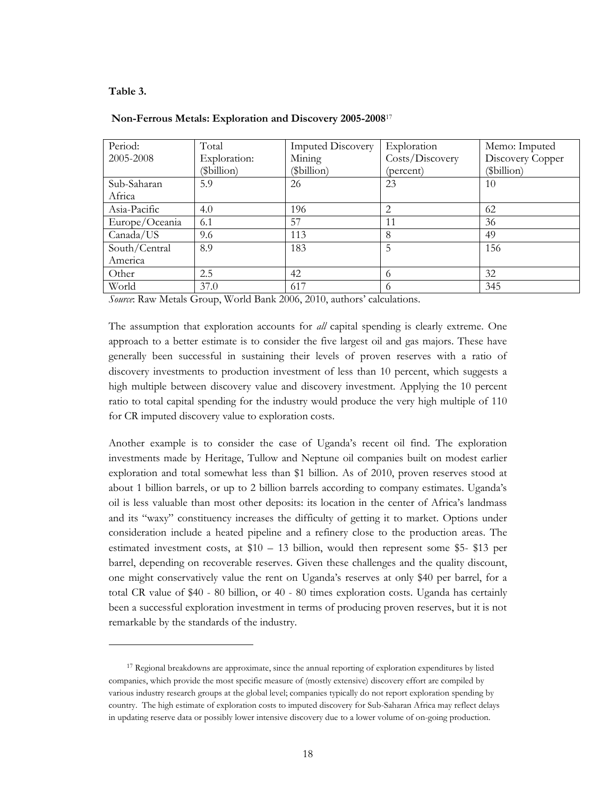#### **Table 3.**

 $\overline{a}$ 

| Period:        | Total        | <b>Imputed Discovery</b> | Exploration     | Memo: Imputed    |
|----------------|--------------|--------------------------|-----------------|------------------|
| 2005-2008      | Exploration: | Mining                   | Costs/Discovery | Discovery Copper |
|                | (\$billion)  | (\$billion)              | (percent)       | (\$billion)      |
| Sub-Saharan    | 5.9          | 26                       | 23              | 10               |
| Africa         |              |                          |                 |                  |
| Asia-Pacific   | 4.0          | 196                      | 2               | 62               |
| Europe/Oceania | 6.1          | 57                       | 11              | 36               |
| Canada/US      | 9.6          | 113                      | 8               | 49               |
| South/Central  | 8.9          | 183                      | 5               | 156              |
| America        |              |                          |                 |                  |
| Other          | 2.5          | 42                       | 6               | 32               |
| World          | 37.0         | 617                      | 6               | 345              |

#### **Non-Ferrous Metals: Exploration and Discovery 2005-2008**<sup>17</sup>

*Source*: Raw Metals Group, World Bank 2006, 2010, authors' calculations.

The assumption that exploration accounts for *all* capital spending is clearly extreme. One approach to a better estimate is to consider the five largest oil and gas majors. These have generally been successful in sustaining their levels of proven reserves with a ratio of discovery investments to production investment of less than 10 percent, which suggests a high multiple between discovery value and discovery investment. Applying the 10 percent ratio to total capital spending for the industry would produce the very high multiple of 110 for CR imputed discovery value to exploration costs.

Another example is to consider the case of Uganda's recent oil find. The exploration investments made by Heritage, Tullow and Neptune oil companies built on modest earlier exploration and total somewhat less than \$1 billion. As of 2010, proven reserves stood at about 1 billion barrels, or up to 2 billion barrels according to company estimates. Uganda's oil is less valuable than most other deposits: its location in the center of Africa's landmass and its "waxy" constituency increases the difficulty of getting it to market. Options under consideration include a heated pipeline and a refinery close to the production areas. The estimated investment costs, at \$10 – 13 billion, would then represent some \$5- \$13 per barrel, depending on recoverable reserves. Given these challenges and the quality discount, one might conservatively value the rent on Uganda's reserves at only \$40 per barrel, for a total CR value of \$40 - 80 billion, or 40 - 80 times exploration costs. Uganda has certainly been a successful exploration investment in terms of producing proven reserves, but it is not remarkable by the standards of the industry.

<sup>&</sup>lt;sup>17</sup> Regional breakdowns are approximate, since the annual reporting of exploration expenditures by listed companies, which provide the most specific measure of (mostly extensive) discovery effort are compiled by various industry research groups at the global level; companies typically do not report exploration spending by country. The high estimate of exploration costs to imputed discovery for Sub-Saharan Africa may reflect delays in updating reserve data or possibly lower intensive discovery due to a lower volume of on-going production.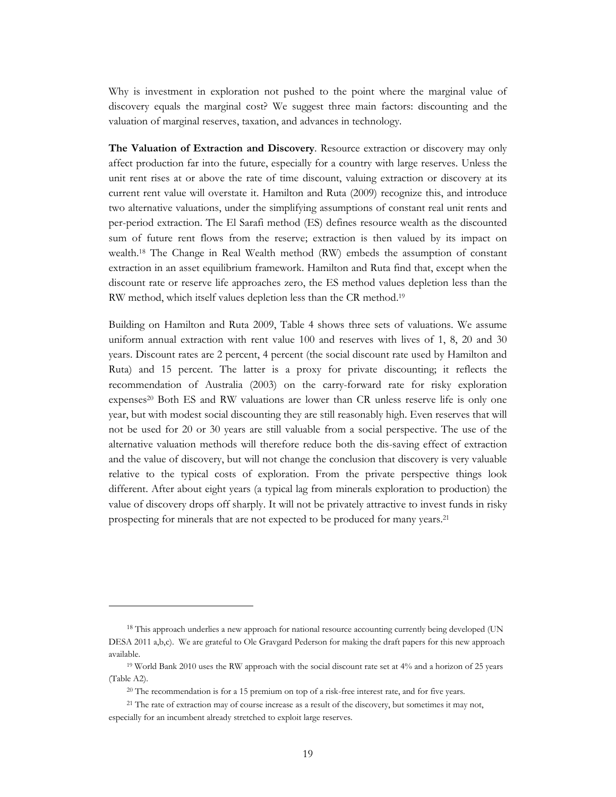Why is investment in exploration not pushed to the point where the marginal value of discovery equals the marginal cost? We suggest three main factors: discounting and the valuation of marginal reserves, taxation, and advances in technology.

**The Valuation of Extraction and Discovery**. Resource extraction or discovery may only affect production far into the future, especially for a country with large reserves. Unless the unit rent rises at or above the rate of time discount, valuing extraction or discovery at its current rent value will overstate it. Hamilton and Ruta (2009) recognize this, and introduce two alternative valuations, under the simplifying assumptions of constant real unit rents and per-period extraction. The El Sarafi method (ES) defines resource wealth as the discounted sum of future rent flows from the reserve; extraction is then valued by its impact on wealth.<sup>18</sup> The Change in Real Wealth method (RW) embeds the assumption of constant extraction in an asset equilibrium framework. Hamilton and Ruta find that, except when the discount rate or reserve life approaches zero, the ES method values depletion less than the RW method, which itself values depletion less than the CR method.<sup>19</sup>

Building on Hamilton and Ruta 2009, Table 4 shows three sets of valuations. We assume uniform annual extraction with rent value 100 and reserves with lives of 1, 8, 20 and 30 years. Discount rates are 2 percent, 4 percent (the social discount rate used by Hamilton and Ruta) and 15 percent. The latter is a proxy for private discounting; it reflects the recommendation of Australia (2003) on the carry-forward rate for risky exploration expenses<sup>20</sup> Both ES and RW valuations are lower than CR unless reserve life is only one year, but with modest social discounting they are still reasonably high. Even reserves that will not be used for 20 or 30 years are still valuable from a social perspective. The use of the alternative valuation methods will therefore reduce both the dis-saving effect of extraction and the value of discovery, but will not change the conclusion that discovery is very valuable relative to the typical costs of exploration. From the private perspective things look different. After about eight years (a typical lag from minerals exploration to production) the value of discovery drops off sharply. It will not be privately attractive to invest funds in risky prospecting for minerals that are not expected to be produced for many years.<sup>21</sup>

<sup>&</sup>lt;sup>18</sup> This approach underlies a new approach for national resource accounting currently being developed (UN DESA 2011 a,b,c). We are grateful to Ole Gravgard Pederson for making the draft papers for this new approach available.

<sup>19</sup> World Bank 2010 uses the RW approach with the social discount rate set at 4% and a horizon of 25 years (Table A2).

<sup>&</sup>lt;sup>20</sup> The recommendation is for a 15 premium on top of a risk-free interest rate, and for five years.

<sup>&</sup>lt;sup>21</sup> The rate of extraction may of course increase as a result of the discovery, but sometimes it may not, especially for an incumbent already stretched to exploit large reserves.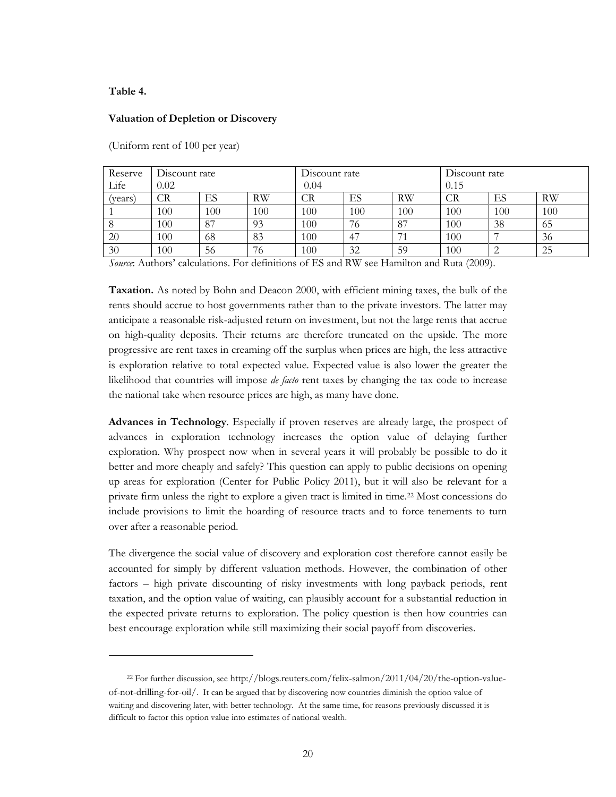#### **Table 4.**

 $\overline{a}$ 

#### **Valuation of Depletion or Discovery**

| Reserve | Discount rate |     |           | Discount rate          |     |           | Discount rate |     |           |
|---------|---------------|-----|-----------|------------------------|-----|-----------|---------------|-----|-----------|
| Life    | 0.02          |     |           | 0.04                   |     |           | 0.15          |     |           |
| vears)  | CR            | ES  | <b>RW</b> | $\mathbb{C}\mathrm{R}$ | ES  | <b>RW</b> | CR            | ES  | <b>RW</b> |
|         | 100           | 100 | 100       | 100                    | 100 | 100       | 100           | 100 | 100       |
|         | 100           | 87  | 93        | 100                    | 76  | 87        | 100           | 38  | 65        |
| 20      | 100           | 68  | 83        | 100                    | -47 |           | 100           | −   | 36        |
| 30      | 100           | 56  | 76        | 100                    | 32  | 59        | 100           | ∠   | 25        |

(Uniform rent of 100 per year)

*Source*: Authors' calculations. For definitions of ES and RW see Hamilton and Ruta (2009).

**Taxation.** As noted by Bohn and Deacon 2000, with efficient mining taxes, the bulk of the rents should accrue to host governments rather than to the private investors. The latter may anticipate a reasonable risk-adjusted return on investment, but not the large rents that accrue on high-quality deposits. Their returns are therefore truncated on the upside. The more progressive are rent taxes in creaming off the surplus when prices are high, the less attractive is exploration relative to total expected value. Expected value is also lower the greater the likelihood that countries will impose *de facto* rent taxes by changing the tax code to increase the national take when resource prices are high, as many have done.

**Advances in Technology**. Especially if proven reserves are already large, the prospect of advances in exploration technology increases the option value of delaying further exploration. Why prospect now when in several years it will probably be possible to do it better and more cheaply and safely? This question can apply to public decisions on opening up areas for exploration (Center for Public Policy 2011), but it will also be relevant for a private firm unless the right to explore a given tract is limited in time.<sup>22</sup> Most concessions do include provisions to limit the hoarding of resource tracts and to force tenements to turn over after a reasonable period.

The divergence the social value of discovery and exploration cost therefore cannot easily be accounted for simply by different valuation methods. However, the combination of other factors – high private discounting of risky investments with long payback periods, rent taxation, and the option value of waiting, can plausibly account for a substantial reduction in the expected private returns to exploration. The policy question is then how countries can best encourage exploration while still maximizing their social payoff from discoveries.

<sup>22</sup> For further discussion, see [http://blogs.reuters.com/felix-salmon/2011/04/20/the-option-value](http://blogs.reuters.com/felix-salmon/2011/04/20/the-option-value-of-not-drilling-for-oil/)[of-not-drilling-for-oil/](http://blogs.reuters.com/felix-salmon/2011/04/20/the-option-value-of-not-drilling-for-oil/). It can be argued that by discovering now countries diminish the option value of waiting and discovering later, with better technology. At the same time, for reasons previously discussed it is difficult to factor this option value into estimates of national wealth.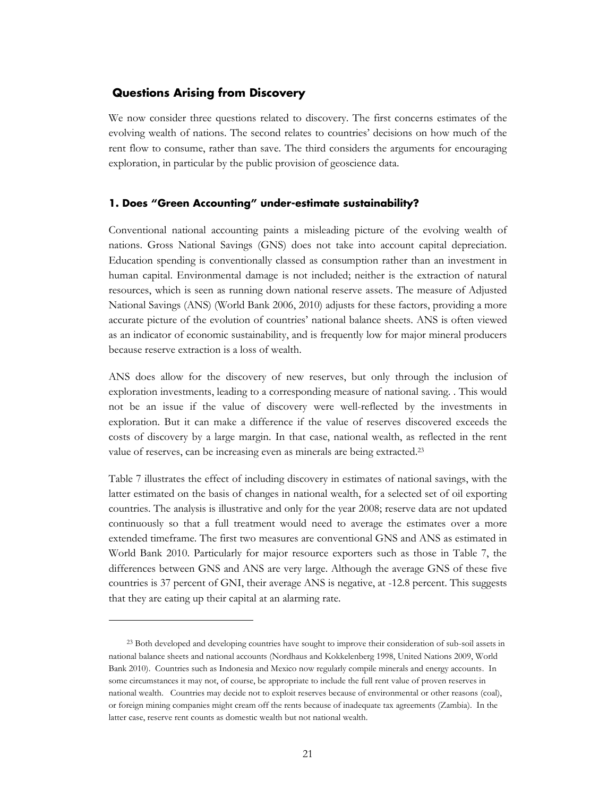#### <span id="page-24-0"></span>**Questions Arising from Discovery**

 $\overline{a}$ 

We now consider three questions related to discovery. The first concerns estimates of the evolving wealth of nations. The second relates to countries' decisions on how much of the rent flow to consume, rather than save. The third considers the arguments for encouraging exploration, in particular by the public provision of geoscience data.

#### <span id="page-24-1"></span>**1. Does "Green Accounting" under-estimate sustainability?**

Conventional national accounting paints a misleading picture of the evolving wealth of nations. Gross National Savings (GNS) does not take into account capital depreciation. Education spending is conventionally classed as consumption rather than an investment in human capital. Environmental damage is not included; neither is the extraction of natural resources, which is seen as running down national reserve assets. The measure of Adjusted National Savings (ANS) (World Bank 2006, 2010) adjusts for these factors, providing a more accurate picture of the evolution of countries' national balance sheets. ANS is often viewed as an indicator of economic sustainability, and is frequently low for major mineral producers because reserve extraction is a loss of wealth.

ANS does allow for the discovery of new reserves, but only through the inclusion of exploration investments, leading to a corresponding measure of national saving. . This would not be an issue if the value of discovery were well-reflected by the investments in exploration. But it can make a difference if the value of reserves discovered exceeds the costs of discovery by a large margin. In that case, national wealth, as reflected in the rent value of reserves, can be increasing even as minerals are being extracted.<sup>23</sup>

Table 7 illustrates the effect of including discovery in estimates of national savings, with the latter estimated on the basis of changes in national wealth, for a selected set of oil exporting countries. The analysis is illustrative and only for the year 2008; reserve data are not updated continuously so that a full treatment would need to average the estimates over a more extended timeframe. The first two measures are conventional GNS and ANS as estimated in World Bank 2010. Particularly for major resource exporters such as those in Table 7, the differences between GNS and ANS are very large. Although the average GNS of these five countries is 37 percent of GNI, their average ANS is negative, at -12.8 percent. This suggests that they are eating up their capital at an alarming rate.

<sup>23</sup> Both developed and developing countries have sought to improve their consideration of sub-soil assets in national balance sheets and national accounts (Nordhaus and Kokkelenberg 1998, United Nations 2009, World Bank 2010). Countries such as Indonesia and Mexico now regularly compile minerals and energy accounts. In some circumstances it may not, of course, be appropriate to include the full rent value of proven reserves in national wealth. Countries may decide not to exploit reserves because of environmental or other reasons (coal), or foreign mining companies might cream off the rents because of inadequate tax agreements (Zambia). In the latter case, reserve rent counts as domestic wealth but not national wealth.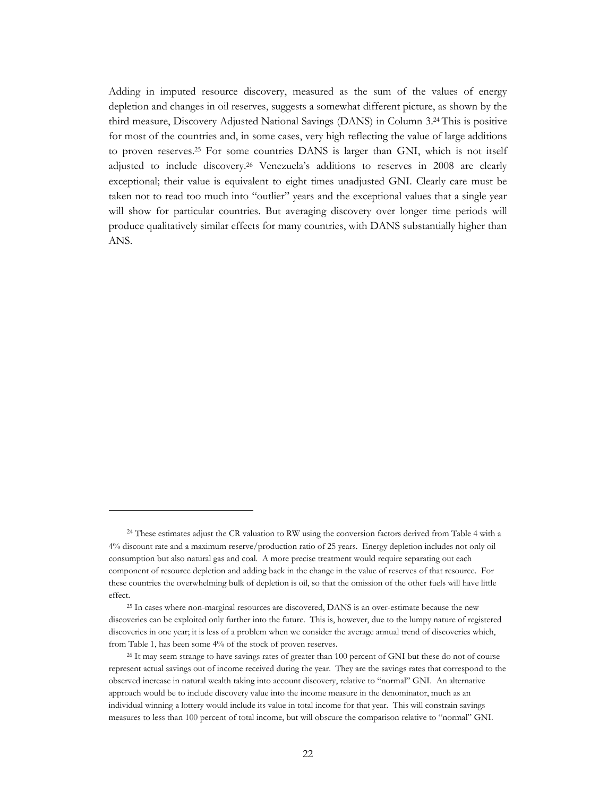Adding in imputed resource discovery, measured as the sum of the values of energy depletion and changes in oil reserves, suggests a somewhat different picture, as shown by the third measure, Discovery Adjusted National Savings (DANS) in Column 3. <sup>24</sup> This is positive for most of the countries and, in some cases, very high reflecting the value of large additions to proven reserves.<sup>25</sup> For some countries DANS is larger than GNI, which is not itself adjusted to include discovery. <sup>26</sup> Venezuela's additions to reserves in 2008 are clearly exceptional; their value is equivalent to eight times unadjusted GNI. Clearly care must be taken not to read too much into "outlier" years and the exceptional values that a single year will show for particular countries. But averaging discovery over longer time periods will produce qualitatively similar effects for many countries, with DANS substantially higher than ANS.

<sup>&</sup>lt;sup>24</sup> These estimates adjust the CR valuation to RW using the conversion factors derived from Table 4 with a 4% discount rate and a maximum reserve/production ratio of 25 years. Energy depletion includes not only oil consumption but also natural gas and coal. A more precise treatment would require separating out each component of resource depletion and adding back in the change in the value of reserves of that resource. For these countries the overwhelming bulk of depletion is oil, so that the omission of the other fuels will have little effect.

<sup>25</sup> In cases where non-marginal resources are discovered, DANS is an over-estimate because the new discoveries can be exploited only further into the future. This is, however, due to the lumpy nature of registered discoveries in one year; it is less of a problem when we consider the average annual trend of discoveries which, from Table 1, has been some 4% of the stock of proven reserves.

<sup>&</sup>lt;sup>26</sup> It may seem strange to have savings rates of greater than 100 percent of GNI but these do not of course represent actual savings out of income received during the year. They are the savings rates that correspond to the observed increase in natural wealth taking into account discovery, relative to "normal" GNI. An alternative approach would be to include discovery value into the income measure in the denominator, much as an individual winning a lottery would include its value in total income for that year. This will constrain savings measures to less than 100 percent of total income, but will obscure the comparison relative to "normal" GNI.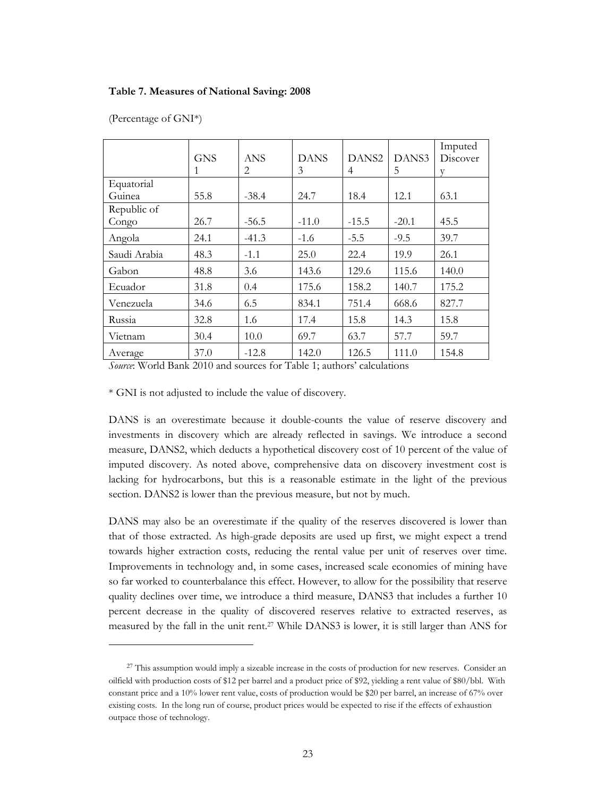#### **Table 7. Measures of National Saving: 2008**

|              |            |            |             |                   |         | Imputed  |
|--------------|------------|------------|-------------|-------------------|---------|----------|
|              | <b>GNS</b> | <b>ANS</b> | <b>DANS</b> | DANS <sub>2</sub> | DANS3   | Discover |
|              |            | 2          | 3           | 4                 | 5       |          |
| Equatorial   |            |            |             |                   |         |          |
| Guinea       | 55.8       | $-38.4$    | 24.7        | 18.4              | 12.1    | 63.1     |
| Republic of  |            |            |             |                   |         |          |
| Congo        | 26.7       | $-56.5$    | $-11.0$     | $-15.5$           | $-20.1$ | 45.5     |
| Angola       | 24.1       | $-41.3$    | $-1.6$      | $-5.5$            | $-9.5$  | 39.7     |
| Saudi Arabia | 48.3       | $-1.1$     | 25.0        | 22.4              | 19.9    | 26.1     |
| Gabon        | 48.8       | 3.6        | 143.6       | 129.6             | 115.6   | 140.0    |
| Ecuador      | 31.8       | 0.4        | 175.6       | 158.2             | 140.7   | 175.2    |
| Venezuela    | 34.6       | 6.5        | 834.1       | 751.4             | 668.6   | 827.7    |
| Russia       | 32.8       | 1.6        | 17.4        | 15.8              | 14.3    | 15.8     |
| Vietnam      | 30.4       | 10.0       | 69.7        | 63.7              | 57.7    | 59.7     |
| Average      | 37.0       | $-12.8$    | 142.0       | 126.5             | 111.0   | 154.8    |

(Percentage of GNI\*)

 $\overline{a}$ 

*Source*: World Bank 2010 and sources for Table 1; authors' calculations

\* GNI is not adjusted to include the value of discovery.

DANS is an overestimate because it double-counts the value of reserve discovery and investments in discovery which are already reflected in savings. We introduce a second measure, DANS2, which deducts a hypothetical discovery cost of 10 percent of the value of imputed discovery. As noted above, comprehensive data on discovery investment cost is lacking for hydrocarbons, but this is a reasonable estimate in the light of the previous section. DANS2 is lower than the previous measure, but not by much.

DANS may also be an overestimate if the quality of the reserves discovered is lower than that of those extracted. As high-grade deposits are used up first, we might expect a trend towards higher extraction costs, reducing the rental value per unit of reserves over time. Improvements in technology and, in some cases, increased scale economies of mining have so far worked to counterbalance this effect. However, to allow for the possibility that reserve quality declines over time, we introduce a third measure, DANS3 that includes a further 10 percent decrease in the quality of discovered reserves relative to extracted reserves, as measured by the fall in the unit rent. <sup>27</sup> While DANS3 is lower, it is still larger than ANS for

<sup>&</sup>lt;sup>27</sup> This assumption would imply a sizeable increase in the costs of production for new reserves. Consider an oilfield with production costs of \$12 per barrel and a product price of \$92, yielding a rent value of \$80/bbl. With constant price and a 10% lower rent value, costs of production would be \$20 per barrel, an increase of 67% over existing costs. In the long run of course, product prices would be expected to rise if the effects of exhaustion outpace those of technology.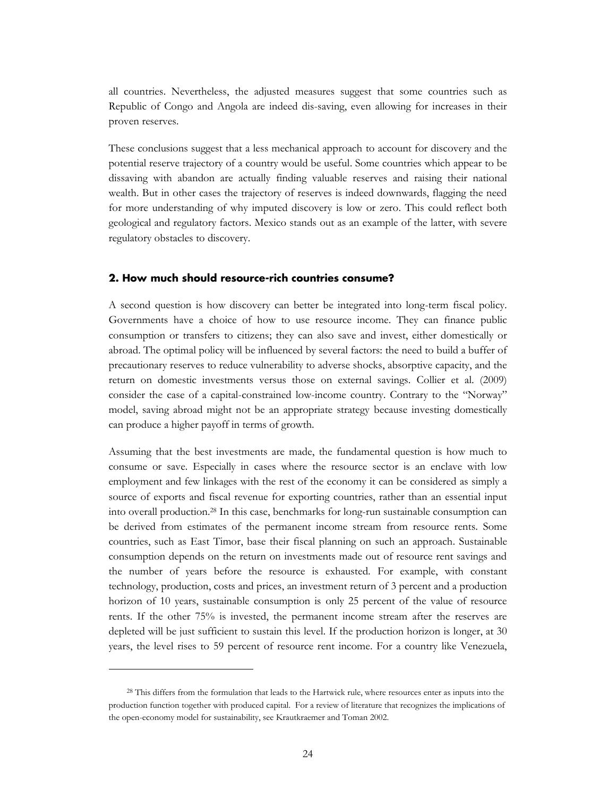all countries. Nevertheless, the adjusted measures suggest that some countries such as Republic of Congo and Angola are indeed dis-saving, even allowing for increases in their proven reserves.

These conclusions suggest that a less mechanical approach to account for discovery and the potential reserve trajectory of a country would be useful. Some countries which appear to be dissaving with abandon are actually finding valuable reserves and raising their national wealth. But in other cases the trajectory of reserves is indeed downwards, flagging the need for more understanding of why imputed discovery is low or zero. This could reflect both geological and regulatory factors. Mexico stands out as an example of the latter, with severe regulatory obstacles to discovery.

#### <span id="page-27-0"></span>**2. How much should resource-rich countries consume?**

A second question is how discovery can better be integrated into long-term fiscal policy. Governments have a choice of how to use resource income. They can finance public consumption or transfers to citizens; they can also save and invest, either domestically or abroad. The optimal policy will be influenced by several factors: the need to build a buffer of precautionary reserves to reduce vulnerability to adverse shocks, absorptive capacity, and the return on domestic investments versus those on external savings. Collier et al. (2009) consider the case of a capital-constrained low-income country. Contrary to the "Norway" model, saving abroad might not be an appropriate strategy because investing domestically can produce a higher payoff in terms of growth.

Assuming that the best investments are made, the fundamental question is how much to consume or save. Especially in cases where the resource sector is an enclave with low employment and few linkages with the rest of the economy it can be considered as simply a source of exports and fiscal revenue for exporting countries, rather than an essential input into overall production. <sup>28</sup> In this case, benchmarks for long-run sustainable consumption can be derived from estimates of the permanent income stream from resource rents. Some countries, such as East Timor, base their fiscal planning on such an approach. Sustainable consumption depends on the return on investments made out of resource rent savings and the number of years before the resource is exhausted. For example, with constant technology, production, costs and prices, an investment return of 3 percent and a production horizon of 10 years, sustainable consumption is only 25 percent of the value of resource rents. If the other 75% is invested, the permanent income stream after the reserves are depleted will be just sufficient to sustain this level. If the production horizon is longer, at 30 years, the level rises to 59 percent of resource rent income. For a country like Venezuela,

<sup>&</sup>lt;sup>28</sup> This differs from the formulation that leads to the Hartwick rule, where resources enter as inputs into the production function together with produced capital. For a review of literature that recognizes the implications of the open-economy model for sustainability, see Krautkraemer and Toman 2002.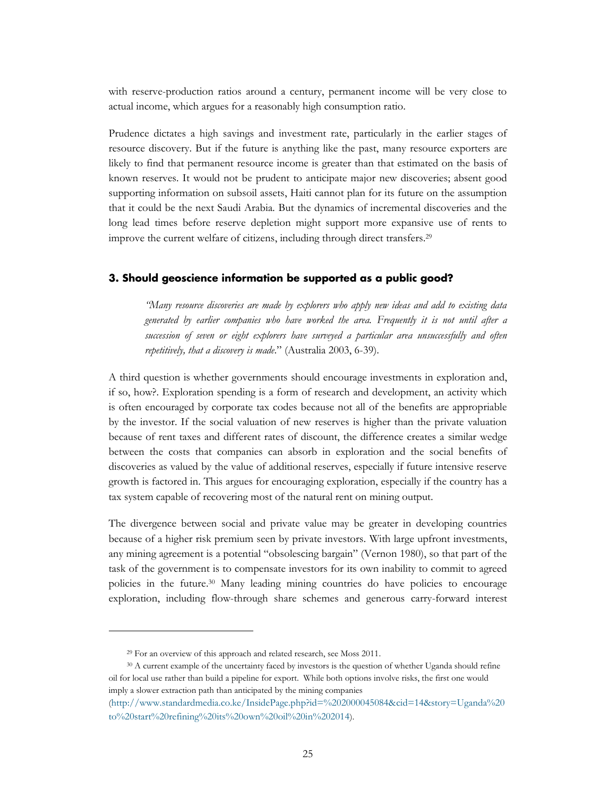with reserve-production ratios around a century, permanent income will be very close to actual income, which argues for a reasonably high consumption ratio.

Prudence dictates a high savings and investment rate, particularly in the earlier stages of resource discovery. But if the future is anything like the past, many resource exporters are likely to find that permanent resource income is greater than that estimated on the basis of known reserves. It would not be prudent to anticipate major new discoveries; absent good supporting information on subsoil assets, Haiti cannot plan for its future on the assumption that it could be the next Saudi Arabia. But the dynamics of incremental discoveries and the long lead times before reserve depletion might support more expansive use of rents to improve the current welfare of citizens, including through direct transfers.<sup>29</sup>

#### <span id="page-28-0"></span>**3. Should geoscience information be supported as a public good?**

*"Many resource discoveries are made by explorers who apply new ideas and add to existing data generated by earlier companies who have worked the area. Frequently it is not until after a succession of seven or eight explorers have surveyed a particular area unsuccessfully and often repetitively, that a discovery is made*." (Australia 2003, 6-39).

A third question is whether governments should encourage investments in exploration and, if so, how?. Exploration spending is a form of research and development, an activity which is often encouraged by corporate tax codes because not all of the benefits are appropriable by the investor. If the social valuation of new reserves is higher than the private valuation because of rent taxes and different rates of discount, the difference creates a similar wedge between the costs that companies can absorb in exploration and the social benefits of discoveries as valued by the value of additional reserves, especially if future intensive reserve growth is factored in. This argues for encouraging exploration, especially if the country has a tax system capable of recovering most of the natural rent on mining output.

The divergence between social and private value may be greater in developing countries because of a higher risk premium seen by private investors. With large upfront investments, any mining agreement is a potential "obsolescing bargain" (Vernon 1980), so that part of the task of the government is to compensate investors for its own inability to commit to agreed policies in the future. <sup>30</sup> Many leading mining countries do have policies to encourage exploration, including flow-through share schemes and generous carry-forward interest

<sup>29</sup> For an overview of this approach and related research, see Moss 2011.

<sup>&</sup>lt;sup>30</sup> A current example of the uncertainty faced by investors is the question of whether Uganda should refine oil for local use rather than build a pipeline for export. While both options involve risks, the first one would imply a slower extraction path than anticipated by the mining companies

<sup>(</sup>[http://www.standardmedia.co.ke/InsidePage.php?id=%202000045084&cid=14&story=Uganda%20](http://www.standardmedia.co.ke/InsidePage.php?id=%202000045084&cid=14&story=Uganda%20to%20start%20refining%20its%20own%20oil%20in%202014) [to%20start%20refining%20its%20own%20oil%20in%202014](http://www.standardmedia.co.ke/InsidePage.php?id=%202000045084&cid=14&story=Uganda%20to%20start%20refining%20its%20own%20oil%20in%202014)).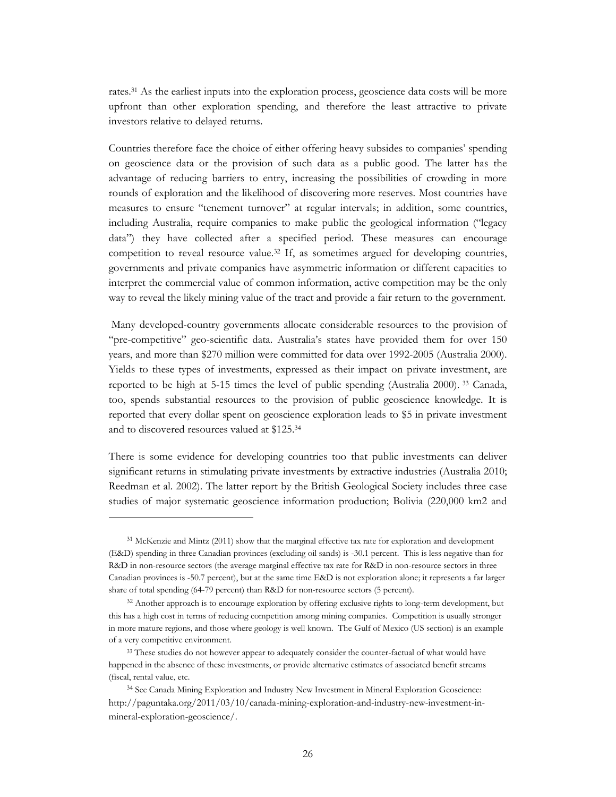rates.<sup>31</sup> As the earliest inputs into the exploration process, geoscience data costs will be more upfront than other exploration spending, and therefore the least attractive to private investors relative to delayed returns.

Countries therefore face the choice of either offering heavy subsides to companies' spending on geoscience data or the provision of such data as a public good. The latter has the advantage of reducing barriers to entry, increasing the possibilities of crowding in more rounds of exploration and the likelihood of discovering more reserves. Most countries have measures to ensure "tenement turnover" at regular intervals; in addition, some countries, including Australia, require companies to make public the geological information ("legacy data") they have collected after a specified period. These measures can encourage competition to reveal resource value.<sup>32</sup> If, as sometimes argued for developing countries, governments and private companies have asymmetric information or different capacities to interpret the commercial value of common information, active competition may be the only way to reveal the likely mining value of the tract and provide a fair return to the government.

Many developed-country governments allocate considerable resources to the provision of "pre-competitive" geo-scientific data. Australia's states have provided them for over 150 years, and more than \$270 million were committed for data over 1992-2005 (Australia 2000). Yields to these types of investments, expressed as their impact on private investment, are reported to be high at 5-15 times the level of public spending (Australia 2000). <sup>33</sup> Canada, too, spends substantial resources to the provision of public geoscience knowledge. It is reported that every dollar spent on geoscience exploration leads to \$5 in private investment and to discovered resources valued at \$125.<sup>34</sup>

There is some evidence for developing countries too that public investments can deliver significant returns in stimulating private investments by extractive industries (Australia 2010; Reedman et al. 2002). The latter report by the British Geological Society includes three case studies of major systematic geoscience information production; Bolivia (220,000 km2 and

<sup>&</sup>lt;sup>31</sup> McKenzie and Mintz (2011) show that the marginal effective tax rate for exploration and development (E&D) spending in three Canadian provinces (excluding oil sands) is -30.1 percent. This is less negative than for R&D in non-resource sectors (the average marginal effective tax rate for R&D in non-resource sectors in three Canadian provinces is -50.7 percent), but at the same time E&D is not exploration alone; it represents a far larger share of total spending (64-79 percent) than R&D for non-resource sectors (5 percent).

<sup>&</sup>lt;sup>32</sup> Another approach is to encourage exploration by offering exclusive rights to long-term development, but this has a high cost in terms of reducing competition among mining companies. Competition is usually stronger in more mature regions, and those where geology is well known. The Gulf of Mexico (US section) is an example of a very competitive environment.

<sup>&</sup>lt;sup>33</sup> These studies do not however appear to adequately consider the counter-factual of what would have happened in the absence of these investments, or provide alternative estimates of associated benefit streams (fiscal, rental value, etc.

<sup>34</sup> See Canada Mining Exploration and Industry New Investment in Mineral Exploration Geoscience: [http://paguntaka.org/2011/03/10/canada-mining-exploration-and-industry-new-investment-in](http://paguntaka.org/2011/03/10/canada-mining-exploration-and-industry-new-investment-in-mineral-exploration-geoscience/)[mineral-exploration-geoscience/.](http://paguntaka.org/2011/03/10/canada-mining-exploration-and-industry-new-investment-in-mineral-exploration-geoscience/)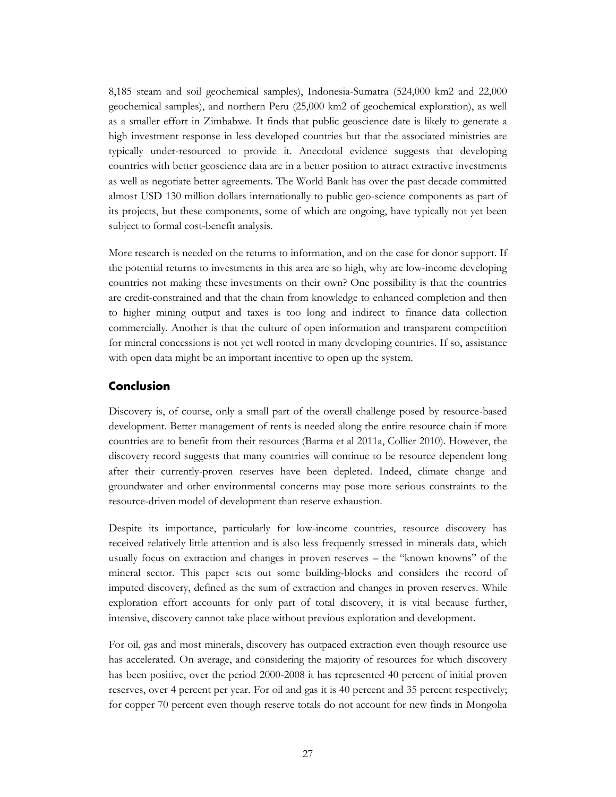8,185 steam and soil geochemical samples), Indonesia-Sumatra (524,000 km2 and 22,000 geochemical samples), and northern Peru (25,000 km2 of geochemical exploration), as well as a smaller effort in Zimbabwe. It finds that public geoscience date is likely to generate a high investment response in less developed countries but that the associated ministries are typically under-resourced to provide it. Anecdotal evidence suggests that developing countries with better geoscience data are in a better position to attract extractive investments as well as negotiate better agreements. The World Bank has over the past decade committed almost USD 130 million dollars internationally to public geo-science components as part of its projects, but these components, some of which are ongoing, have typically not yet been subject to formal cost-benefit analysis.

More research is needed on the returns to information, and on the case for donor support. If the potential returns to investments in this area are so high, why are low-income developing countries not making these investments on their own? One possibility is that the countries are credit-constrained and that the chain from knowledge to enhanced completion and then to higher mining output and taxes is too long and indirect to finance data collection commercially. Another is that the culture of open information and transparent competition for mineral concessions is not yet well rooted in many developing countries. If so, assistance with open data might be an important incentive to open up the system.

#### <span id="page-30-0"></span>**Conclusion**

Discovery is, of course, only a small part of the overall challenge posed by resource-based development. Better management of rents is needed along the entire resource chain if more countries are to benefit from their resources (Barma et al 2011a, Collier 2010). However, the discovery record suggests that many countries will continue to be resource dependent long after their currently-proven reserves have been depleted. Indeed, climate change and groundwater and other environmental concerns may pose more serious constraints to the resource-driven model of development than reserve exhaustion.

Despite its importance, particularly for low-income countries, resource discovery has received relatively little attention and is also less frequently stressed in minerals data, which usually focus on extraction and changes in proven reserves – the "known knowns" of the mineral sector. This paper sets out some building-blocks and considers the record of imputed discovery, defined as the sum of extraction and changes in proven reserves. While exploration effort accounts for only part of total discovery, it is vital because further, intensive, discovery cannot take place without previous exploration and development.

For oil, gas and most minerals, discovery has outpaced extraction even though resource use has accelerated. On average, and considering the majority of resources for which discovery has been positive, over the period 2000-2008 it has represented 40 percent of initial proven reserves, over 4 percent per year. For oil and gas it is 40 percent and 35 percent respectively; for copper 70 percent even though reserve totals do not account for new finds in Mongolia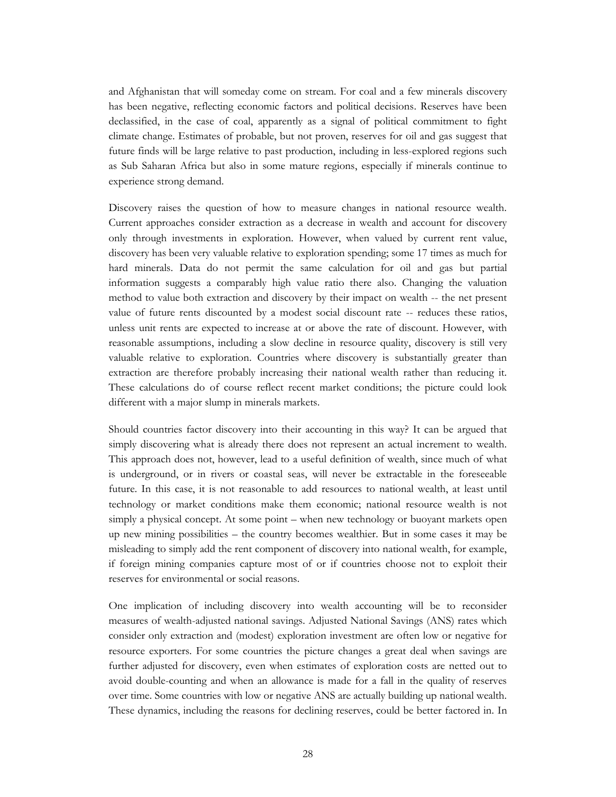and Afghanistan that will someday come on stream. For coal and a few minerals discovery has been negative, reflecting economic factors and political decisions. Reserves have been declassified, in the case of coal, apparently as a signal of political commitment to fight climate change. Estimates of probable, but not proven, reserves for oil and gas suggest that future finds will be large relative to past production, including in less-explored regions such as Sub Saharan Africa but also in some mature regions, especially if minerals continue to experience strong demand.

Discovery raises the question of how to measure changes in national resource wealth. Current approaches consider extraction as a decrease in wealth and account for discovery only through investments in exploration. However, when valued by current rent value, discovery has been very valuable relative to exploration spending; some 17 times as much for hard minerals. Data do not permit the same calculation for oil and gas but partial information suggests a comparably high value ratio there also. Changing the valuation method to value both extraction and discovery by their impact on wealth -- the net present value of future rents discounted by a modest social discount rate -- reduces these ratios, unless unit rents are expected to increase at or above the rate of discount. However, with reasonable assumptions, including a slow decline in resource quality, discovery is still very valuable relative to exploration. Countries where discovery is substantially greater than extraction are therefore probably increasing their national wealth rather than reducing it. These calculations do of course reflect recent market conditions; the picture could look different with a major slump in minerals markets.

Should countries factor discovery into their accounting in this way? It can be argued that simply discovering what is already there does not represent an actual increment to wealth. This approach does not, however, lead to a useful definition of wealth, since much of what is underground, or in rivers or coastal seas, will never be extractable in the foreseeable future. In this case, it is not reasonable to add resources to national wealth, at least until technology or market conditions make them economic; national resource wealth is not simply a physical concept. At some point – when new technology or buoyant markets open up new mining possibilities – the country becomes wealthier. But in some cases it may be misleading to simply add the rent component of discovery into national wealth, for example, if foreign mining companies capture most of or if countries choose not to exploit their reserves for environmental or social reasons.

One implication of including discovery into wealth accounting will be to reconsider measures of wealth-adjusted national savings. Adjusted National Savings (ANS) rates which consider only extraction and (modest) exploration investment are often low or negative for resource exporters. For some countries the picture changes a great deal when savings are further adjusted for discovery, even when estimates of exploration costs are netted out to avoid double-counting and when an allowance is made for a fall in the quality of reserves over time. Some countries with low or negative ANS are actually building up national wealth. These dynamics, including the reasons for declining reserves, could be better factored in. In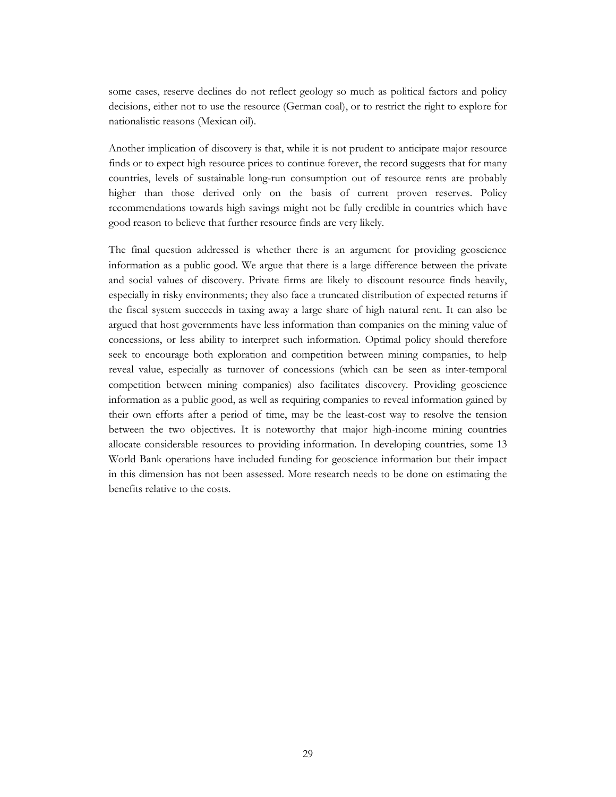some cases, reserve declines do not reflect geology so much as political factors and policy decisions, either not to use the resource (German coal), or to restrict the right to explore for nationalistic reasons (Mexican oil).

Another implication of discovery is that, while it is not prudent to anticipate major resource finds or to expect high resource prices to continue forever, the record suggests that for many countries, levels of sustainable long-run consumption out of resource rents are probably higher than those derived only on the basis of current proven reserves. Policy recommendations towards high savings might not be fully credible in countries which have good reason to believe that further resource finds are very likely.

The final question addressed is whether there is an argument for providing geoscience information as a public good. We argue that there is a large difference between the private and social values of discovery. Private firms are likely to discount resource finds heavily, especially in risky environments; they also face a truncated distribution of expected returns if the fiscal system succeeds in taxing away a large share of high natural rent. It can also be argued that host governments have less information than companies on the mining value of concessions, or less ability to interpret such information. Optimal policy should therefore seek to encourage both exploration and competition between mining companies, to help reveal value, especially as turnover of concessions (which can be seen as inter-temporal competition between mining companies) also facilitates discovery. Providing geoscience information as a public good, as well as requiring companies to reveal information gained by their own efforts after a period of time, may be the least-cost way to resolve the tension between the two objectives. It is noteworthy that major high-income mining countries allocate considerable resources to providing information. In developing countries, some 13 World Bank operations have included funding for geoscience information but their impact in this dimension has not been assessed. More research needs to be done on estimating the benefits relative to the costs.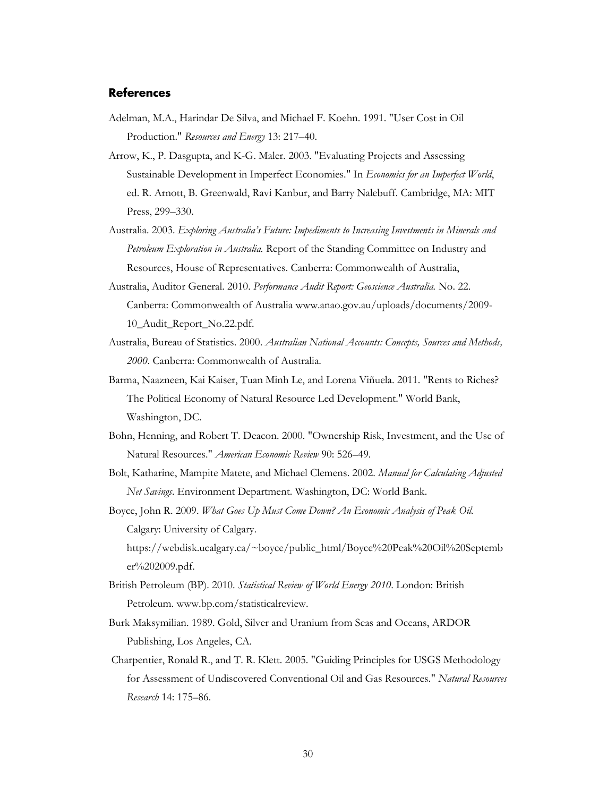#### <span id="page-33-0"></span>**References**

er%202009.pdf.

- Adelman, M.A., Harindar De Silva, and Michael F. Koehn. 1991. "User Cost in Oil Production." *Resources and Energy* 13: 217–40.
- Arrow, K., P. Dasgupta, and K-G. Maler. 2003. "Evaluating Projects and Assessing Sustainable Development in Imperfect Economies." In *Economics for an Imperfect World*, ed. R. Arnott, B. Greenwald, Ravi Kanbur, and Barry Nalebuff. Cambridge, MA: MIT Press, 299–330.
- Australia. 2003. *Exploring Australia's Future: Impediments to Increasing Investments in Minerals and Petroleum Exploration in Australia.* Report of the Standing Committee on Industry and Resources, House of Representatives. Canberra: Commonwealth of Australia,
- Australia, Auditor General. 2010. *Performance Audit Report: Geoscience Australia.* No. 22. Canberra: Commonwealth of Australia www.anao.gov.au/uploads/documents/2009- 10\_Audit\_Report\_No.22.pdf.
- Australia, Bureau of Statistics. 2000. *Australian National Accounts: Concepts, Sources and Methods, 2000*. Canberra: Commonwealth of Australia.
- Barma, Naazneen, Kai Kaiser, Tuan Minh Le, and Lorena Viñuela. 2011. "Rents to Riches? The Political Economy of Natural Resource Led Development." World Bank, Washington, DC.
- Bohn, Henning, and Robert T. Deacon. 2000. "Ownership Risk, Investment, and the Use of Natural Resources." *American Economic Review* 90: 526–49.
- Bolt, Katharine, Mampite Matete, and Michael Clemens. 2002. *Manual for Calculating Adjusted Net Savings*. Environment Department. Washington, DC: World Bank.
- Boyce, John R. 2009. *What Goes Up Must Come Down? An Economic Analysis of Peak Oil.* Calgary: University of Calgary. https://webdisk.ucalgary.ca/~boyce/public\_html/Boyce%20Peak%20Oil%20Septemb
- British Petroleum (BP). 2010. *Statistical Review of World Energy 2010*. London: British Petroleum. [www.bp.com/statisticalreview.](http://www.bp.com/statisticalreview)
- Burk Maksymilian. 1989. Gold, Silver and Uranium from Seas and Oceans, ARDOR Publishing, Los Angeles, CA.
- Charpentier, Ronald R., and T. R. Klett. 2005. "Guiding Principles for USGS Methodology for Assessment of Undiscovered Conventional Oil and Gas Resources." *Natural Resources Research* 14: 175–86.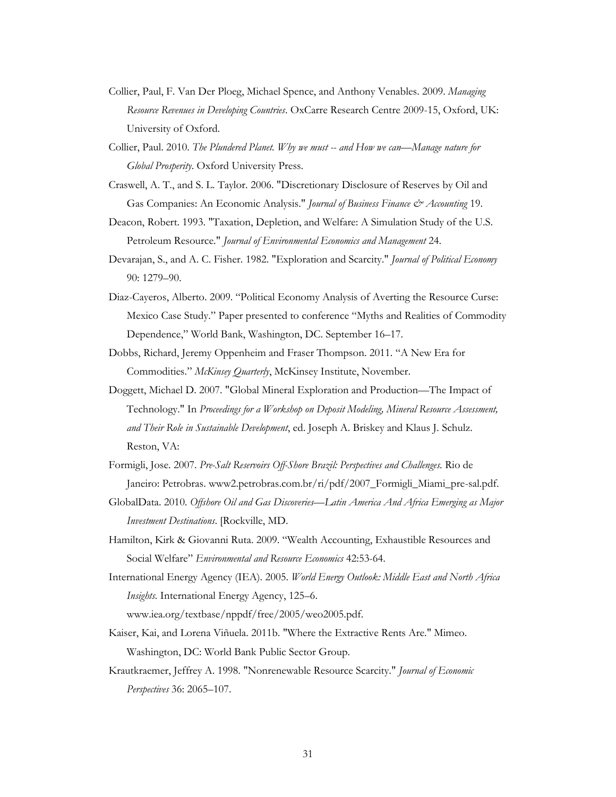- Collier, Paul, F. Van Der Ploeg, Michael Spence, and Anthony Venables. 2009. *Managing Resource Revenues in Developing Countries*. OxCarre Research Centre 2009-15, Oxford, UK: University of Oxford.
- Collier, Paul. 2010. *The Plundered Planet. Why we must -- and How we can—Manage nature for Global Prosperity*. Oxford University Press.
- Craswell, A. T., and S. L. Taylor. 2006. "Discretionary Disclosure of Reserves by Oil and Gas Companies: An Economic Analysis." *Journal of Business Finance & Accounting* 19.
- Deacon, Robert. 1993. "Taxation, Depletion, and Welfare: A Simulation Study of the U.S. Petroleum Resource." *Journal of Environmental Economics and Management* 24.
- Devarajan, S., and A. C. Fisher. 1982. "Exploration and Scarcity." *Journal of Political Economy* 90: 1279–90.
- Diaz-Cayeros, Alberto. 2009. "Political Economy Analysis of Averting the Resource Curse: Mexico Case Study." Paper presented to conference "Myths and Realities of Commodity Dependence," World Bank, Washington, DC. September 16–17.
- Dobbs, Richard, Jeremy Oppenheim and Fraser Thompson. 2011. "A New Era for Commodities." *McKinsey Quarterly*, McKinsey Institute, November.
- Doggett, Michael D. 2007. "Global Mineral Exploration and Production—The Impact of Technology." In *Proceedings for a Workshop on Deposit Modeling, Mineral Resource Assessment, and Their Role in Sustainable Development*, ed. Joseph A. Briskey and Klaus J. Schulz. Reston, VA:
- Formigli, Jose. 2007. *Pre-Salt Reservoirs Off-Shore Brazil: Perspectives and Challenges.* Rio de Janeiro: Petrobras. www2.petrobras.com.br/ri/pdf/2007\_Formigli\_Miami\_pre-sal.pdf.
- GlobalData. 2010. *Offshore Oil and Gas Discoveries—Latin America And Africa Emerging as Major Investment Destinations*. [Rockville, MD.
- Hamilton, Kirk & Giovanni Ruta. 2009. "Wealth Accounting, Exhaustible Resources and Social Welfare" *Environmental and Resource Economics* 42:53-64.
- International Energy Agency (IEA). 2005. *World Energy Outlook: Middle East and North Africa Insights.* International Energy Agency, 125–6. www.iea.org/textbase/nppdf/free/2005/weo2005.pdf.
- Kaiser, Kai, and Lorena Viñuela. 2011b. "Where the Extractive Rents Are." Mimeo. Washington, DC: World Bank Public Sector Group.
- Krautkraemer, Jeffrey A. 1998. "Nonrenewable Resource Scarcity." *Journal of Economic Perspectives* 36: 2065–107.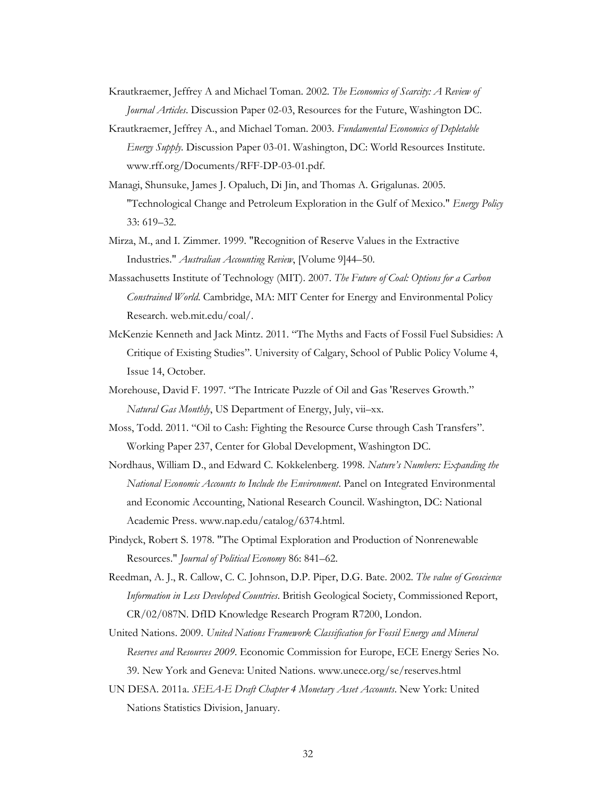- Krautkraemer, Jeffrey A and Michael Toman. 2002. *The Economics of Scarcity: A Review of Journal Articles*. Discussion Paper 02-03, Resources for the Future, Washington DC.
- Krautkraemer, Jeffrey A., and Michael Toman. 2003. *Fundamental Economics of Depletable Energy Supply.* Discussion Paper 03-01. Washington, DC: World Resources Institute. www.rff.org/Documents/RFF-DP-03-01.pdf.
- Managi, Shunsuke, James J. Opaluch, Di Jin, and Thomas A. Grigalunas. 2005. "Technological Change and Petroleum Exploration in the Gulf of Mexico." *Energy Policy* 33: 619–32.
- Mirza, M., and I. Zimmer. 1999. "Recognition of Reserve Values in the Extractive Industries." *Australian Accounting Review*, [Volume 9]44–50.
- Massachusetts Institute of Technology (MIT). 2007. *The Future of Coal: Options for a Carbon Constrained World*. Cambridge, MA: MIT Center for Energy and Environmental Policy Research. web.mit.edu/coal/.
- McKenzie Kenneth and Jack Mintz. 2011. "The Myths and Facts of Fossil Fuel Subsidies: A Critique of Existing Studies". University of Calgary, School of Public Policy Volume 4, Issue 14, October.
- Morehouse, David F. 1997. "The Intricate Puzzle of Oil and Gas 'Reserves Growth." *Natural Gas Monthly*, US Department of Energy, July, vii–xx.
- Moss, Todd. 2011. "Oil to Cash: Fighting the Resource Curse through Cash Transfers". Working Paper 237, Center for Global Development, Washington DC.
- Nordhaus, William D., and Edward C. Kokkelenberg. 1998. *Nature's Numbers: Expanding the National Economic Accounts to Include the Environment*. Panel on Integrated Environmental and Economic Accounting, National Research Council. Washington, DC: National Academic Press. www.nap.edu/catalog/6374.html.
- Pindyck, Robert S. 1978. "The Optimal Exploration and Production of Nonrenewable Resources." *Journal of Political Economy* 86: 841–62.
- Reedman, A. J., R. Callow, C. C. Johnson, D.P. Piper, D.G. Bate. 2002. *The value of Geoscience Information in Less Developed Countries*. British Geological Society, Commissioned Report, CR/02/087N. DfID Knowledge Research Program R7200, London.
- United Nations. 2009. *United Nations Framework Classification for Fossil Energy and Mineral Reserves and Resources 2009*. Economic Commission for Europe, ECE Energy Series No. 39. New York and Geneva: United Nations. [www.unece.org/se/reserves.html](http://www.unece.org/se/reserves.html)
- UN DESA. 2011a. *SEEA-E Draft Chapter 4 Monetary Asset Accounts*. New York: United Nations Statistics Division, January.